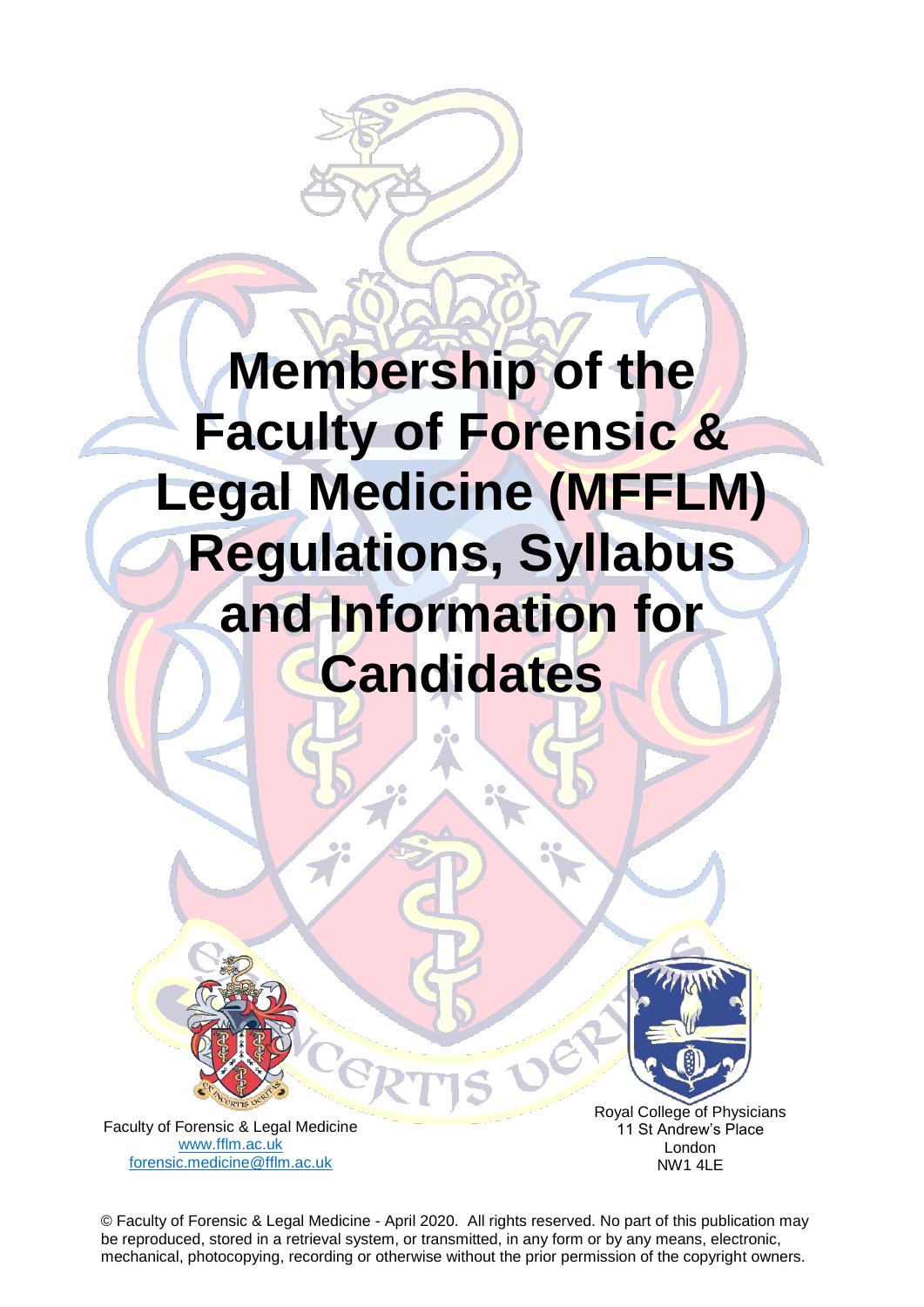# **alcine Membership of the Faculty of Forensic & Legal Medicine (MFFLM) Regulations, Syllabus and Information for Candidates**



Royal College of Physicians 11 St Andrew's Place London NW1 4LE

Faculty of Forensic & Legal Medicine [www.fflm.ac.uk](http://www.fflm.ac.uk/)  [forensic.medicine@fflm.ac.uk](mailto:forensic.medicine@fflm.ac.uk)

© Faculty of Forensic & Legal Medicine - April 2020. All rights reserved. No part of this publication may be reproduced, stored in a retrieval system, or transmitted, in any form or by any means, electronic, mechanical, photocopying, recording or otherwise without the prior permission of the copyright owners.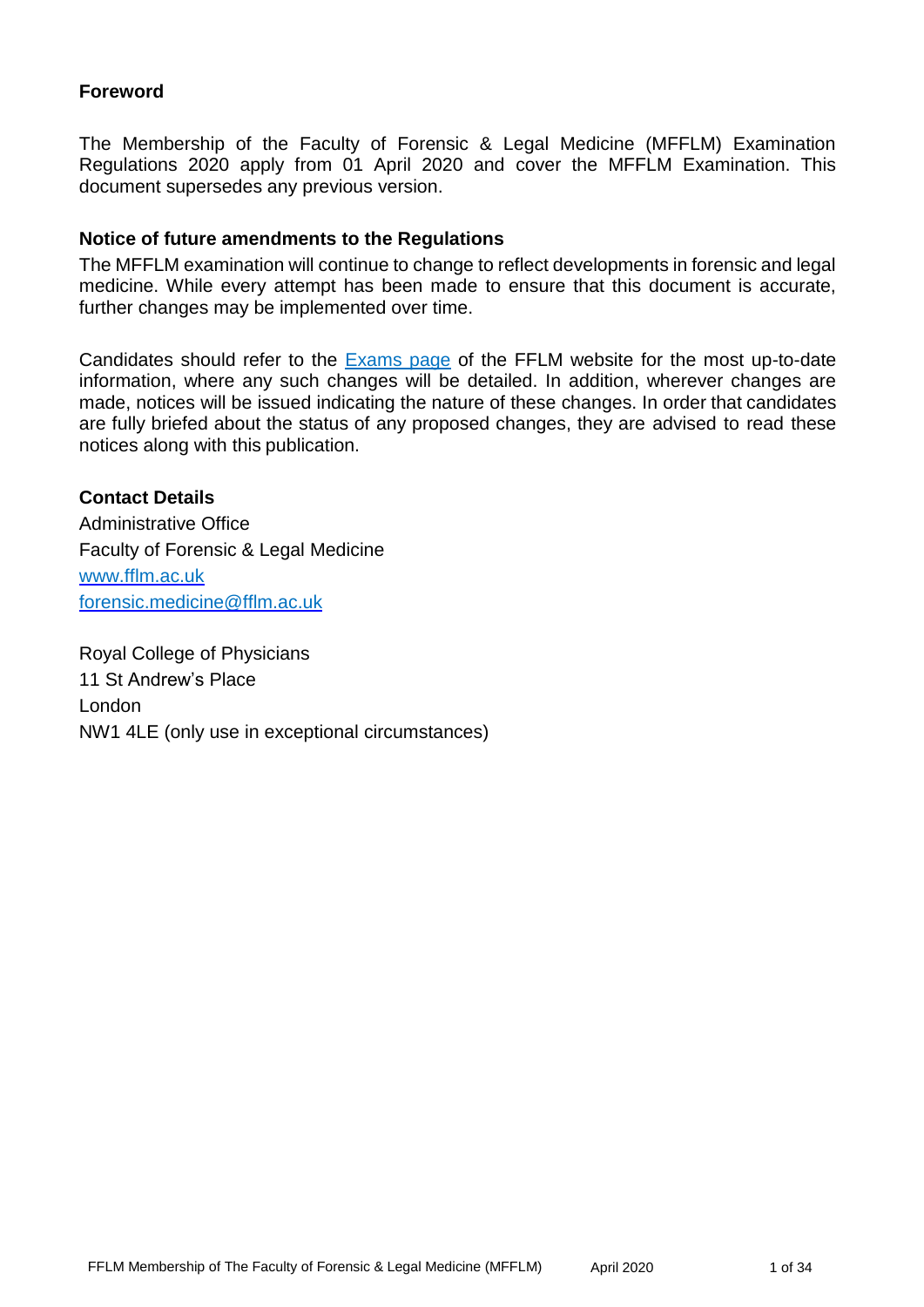## **Foreword**

The Membership of the Faculty of Forensic & Legal Medicine (MFFLM) Examination Regulations 2020 apply from 01 April 2020 and cover the MFFLM Examination. This document supersedes any previous version.

#### **Notice of future amendments to the Regulations**

The MFFLM examination will continue to change to reflect developments in forensic and legal medicine. While every attempt has been made to ensure that this document is accurate, further changes may be implemented over time.

Candidates should refer to the [Exams page](http://www.fflm.ac.uk/exams) of the FFLM website for the most up-to-date information, where any such changes will be detailed. In addition, wherever changes are made, notices will be issued indicating the nature of these changes. In order that candidates are fully briefed about the status of any proposed changes, they are advised to read these notices along with this publication.

# **Contact Details** Administrative Office Faculty of Forensic & Legal Medicine www.fflm.ac.uk [forensic.medicine@fflm.ac.uk](mailto:forensic.medicine@fflm.ac.uk)

Royal College of Physicians 11 St Andrew's Place London NW1 4LE (only use in exceptional circumstances)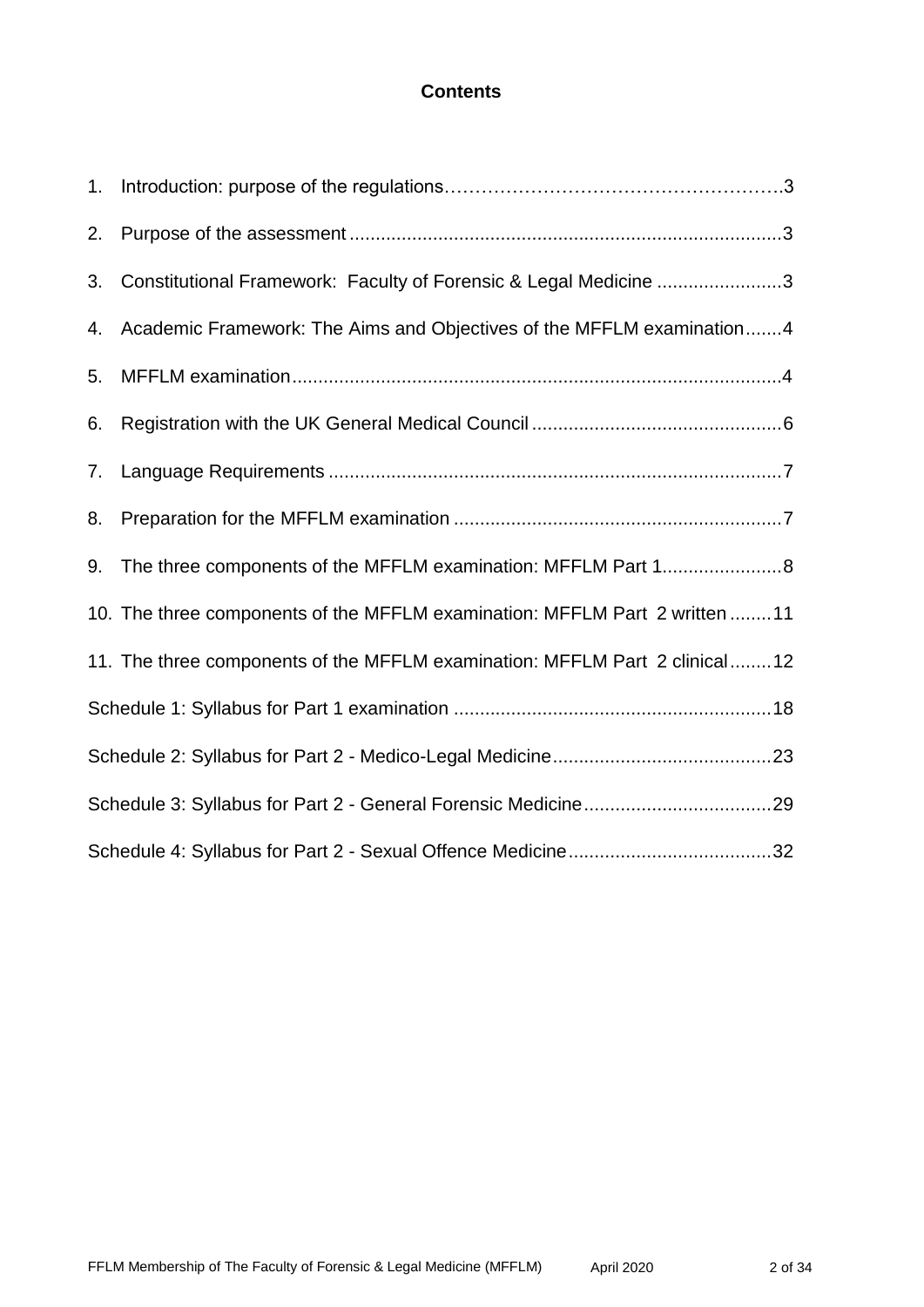# **Contents**

| 2. |                                                                            |
|----|----------------------------------------------------------------------------|
| 3. | Constitutional Framework: Faculty of Forensic & Legal Medicine 3           |
| 4. | Academic Framework: The Aims and Objectives of the MFFLM examination 4     |
| 5. |                                                                            |
| 6. |                                                                            |
| 7. |                                                                            |
| 8. |                                                                            |
| 9. | The three components of the MFFLM examination: MFFLM Part 18               |
|    | 10. The three components of the MFFLM examination: MFFLM Part 2 written 11 |
|    | 11. The three components of the MFFLM examination: MFFLM Part 2 clinical12 |
|    |                                                                            |
|    |                                                                            |
|    |                                                                            |
|    |                                                                            |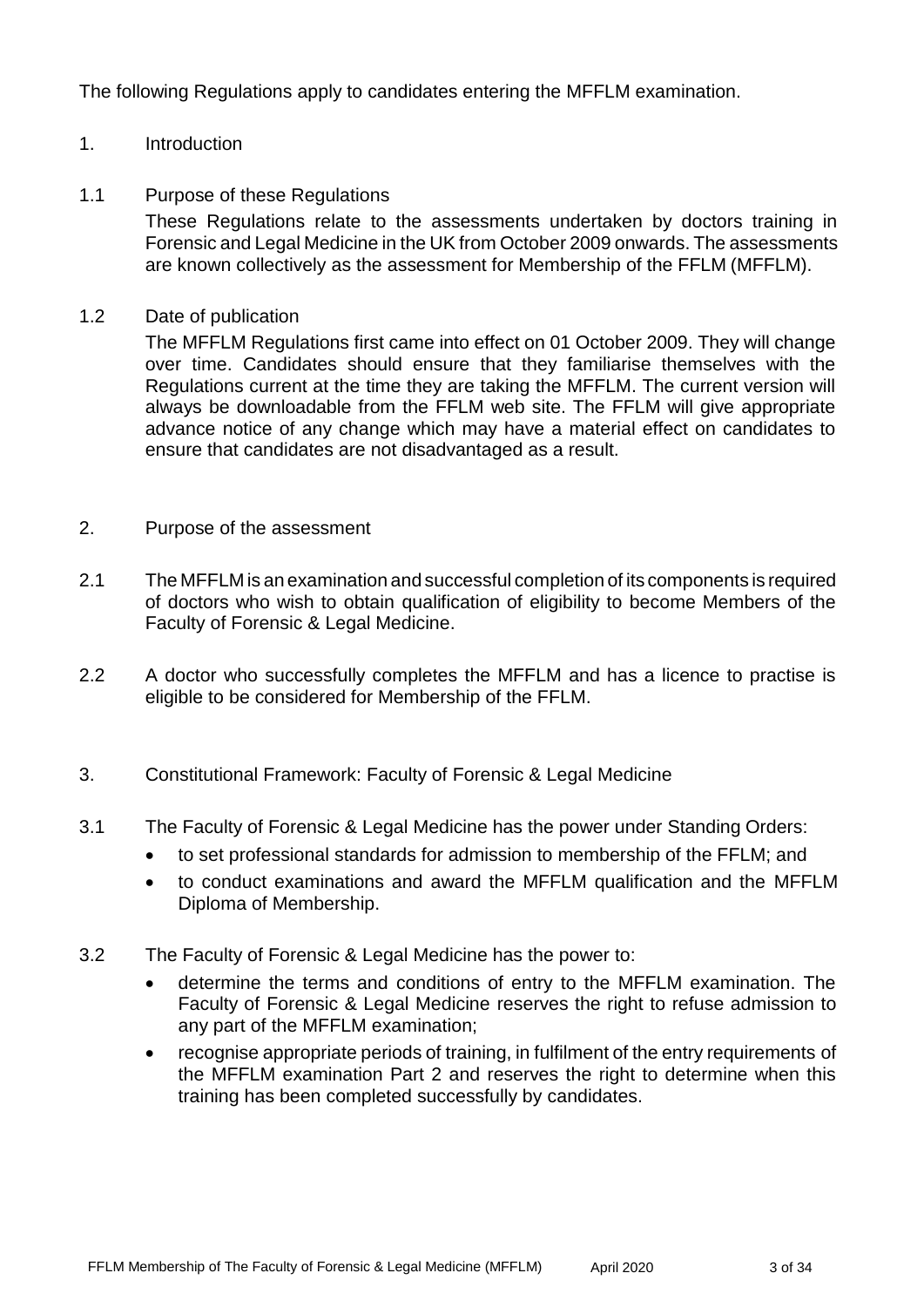The following Regulations apply to candidates entering the MFFLM examination.

### 1. Introduction

#### 1.1 Purpose of these Regulations

These Regulations relate to the assessments undertaken by doctors training in Forensic and Legal Medicine in the UK from October 2009 onwards. The assessments are known collectively as the assessment for Membership of the FFLM (MFFLM).

#### 1.2 Date of publication

The MFFLM Regulations first came into effect on 01 October 2009. They will change over time. Candidates should ensure that they familiarise themselves with the Regulations current at the time they are taking the MFFLM. The current version will always be downloadable from the FFLM web site. The FFLM will give appropriate advance notice of any change which may have a material effect on candidates to ensure that candidates are not disadvantaged as a result.

#### 2. Purpose of the assessment

- 2.1 The MFFLM is an examination and successful completion of its components is required of doctors who wish to obtain qualification of eligibility to become Members of the Faculty of Forensic & Legal Medicine.
- 2.2 A doctor who successfully completes the MFFLM and has a licence to practise is eligible to be considered for Membership of the FFLM.
- 3. Constitutional Framework: Faculty of Forensic & Legal Medicine
- 3.1 The Faculty of Forensic & Legal Medicine has the power under Standing Orders:
	- to set professional standards for admission to membership of the FFLM; and
	- to conduct examinations and award the MFFLM qualification and the MFFLM Diploma of Membership.
- 3.2 The Faculty of Forensic & Legal Medicine has the power to:
	- determine the terms and conditions of entry to the MFFLM examination. The Faculty of Forensic & Legal Medicine reserves the right to refuse admission to any part of the MFFLM examination;
	- recognise appropriate periods of training, in fulfilment of the entry requirements of the MFFLM examination Part 2 and reserves the right to determine when this training has been completed successfully by candidates.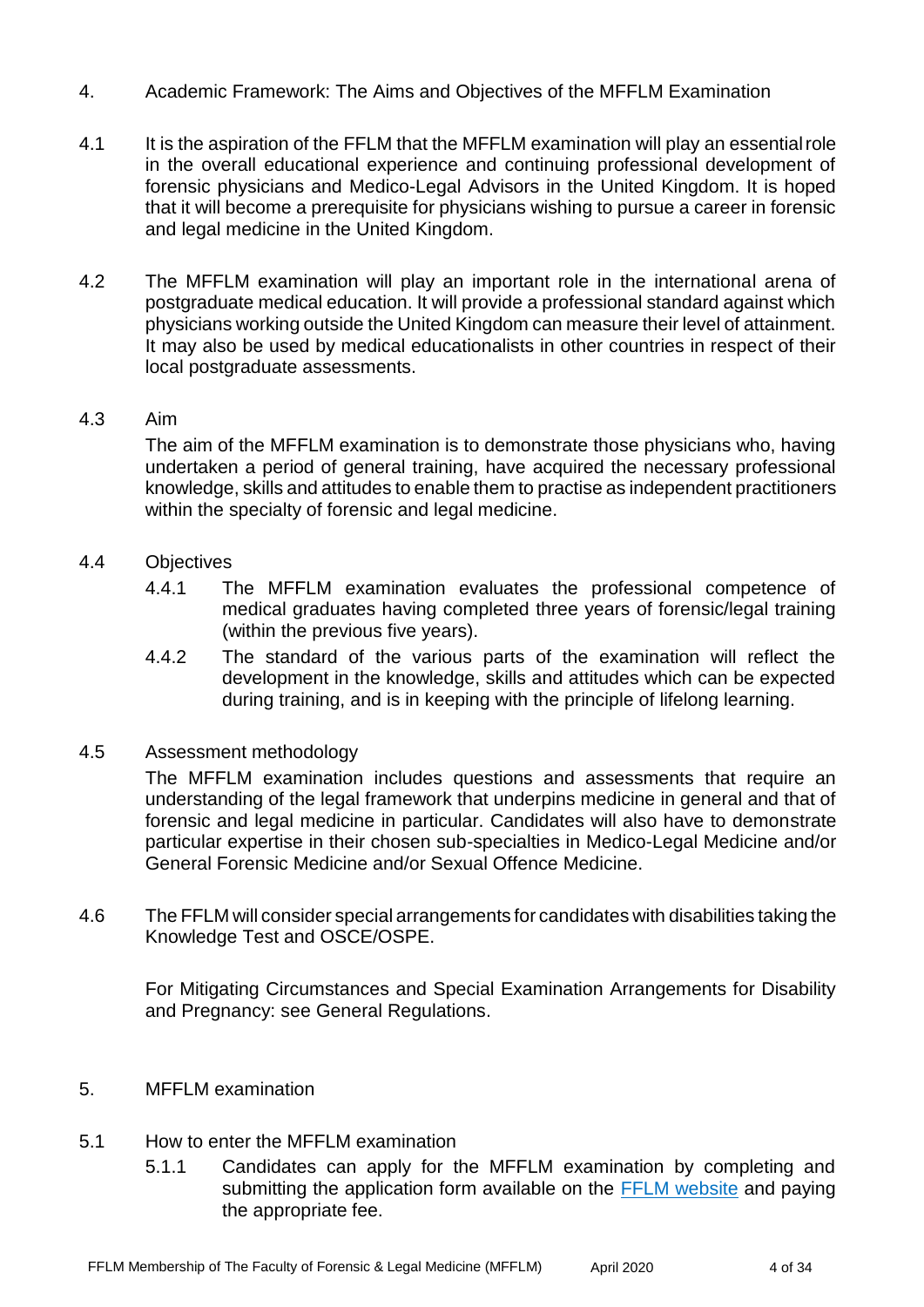- 4. Academic Framework: The Aims and Objectives of the MFFLM Examination
- 4.1 It is the aspiration of the FFLM that the MFFLM examination will play an essential role in the overall educational experience and continuing professional development of forensic physicians and Medico-Legal Advisors in the United Kingdom. It is hoped that it will become a prerequisite for physicians wishing to pursue a career in forensic and legal medicine in the United Kingdom.
- 4.2 The MFFLM examination will play an important role in the international arena of postgraduate medical education. It will provide a professional standard against which physicians working outside the United Kingdom can measure their level of attainment. It may also be used by medical educationalists in other countries in respect of their local postgraduate assessments.

#### 4.3 Aim

The aim of the MFFLM examination is to demonstrate those physicians who, having undertaken a period of general training, have acquired the necessary professional knowledge, skills and attitudes to enable them to practise as independent practitioners within the specialty of forensic and legal medicine.

- 4.4 Objectives
	- 4.4.1 The MFFLM examination evaluates the professional competence of medical graduates having completed three years of forensic/legal training (within the previous five years).
	- 4.4.2 The standard of the various parts of the examination will reflect the development in the knowledge, skills and attitudes which can be expected during training, and is in keeping with the principle of lifelong learning.
- 4.5 Assessment methodology

The MFFLM examination includes questions and assessments that require an understanding of the legal framework that underpins medicine in general and that of forensic and legal medicine in particular. Candidates will also have to demonstrate particular expertise in their chosen sub-specialties in Medico-Legal Medicine and/or General Forensic Medicine and/or Sexual Offence Medicine.

4.6 The FFLM will consider special arrangements for candidates with disabilities taking the Knowledge Test and OSCE/OSPE.

For Mitigating Circumstances and Special Examination Arrangements for Disability and Pregnancy: see General Regulations.

- 5. MFFLM examination
- 5.1 How to enter the MFFLM examination
	- 5.1.1 Candidates can apply for the MFFLM examination by completing and submitting the application form available on the [FFLM website](http://www.fflm.ac.uk/exams) and paying the appropriate fee.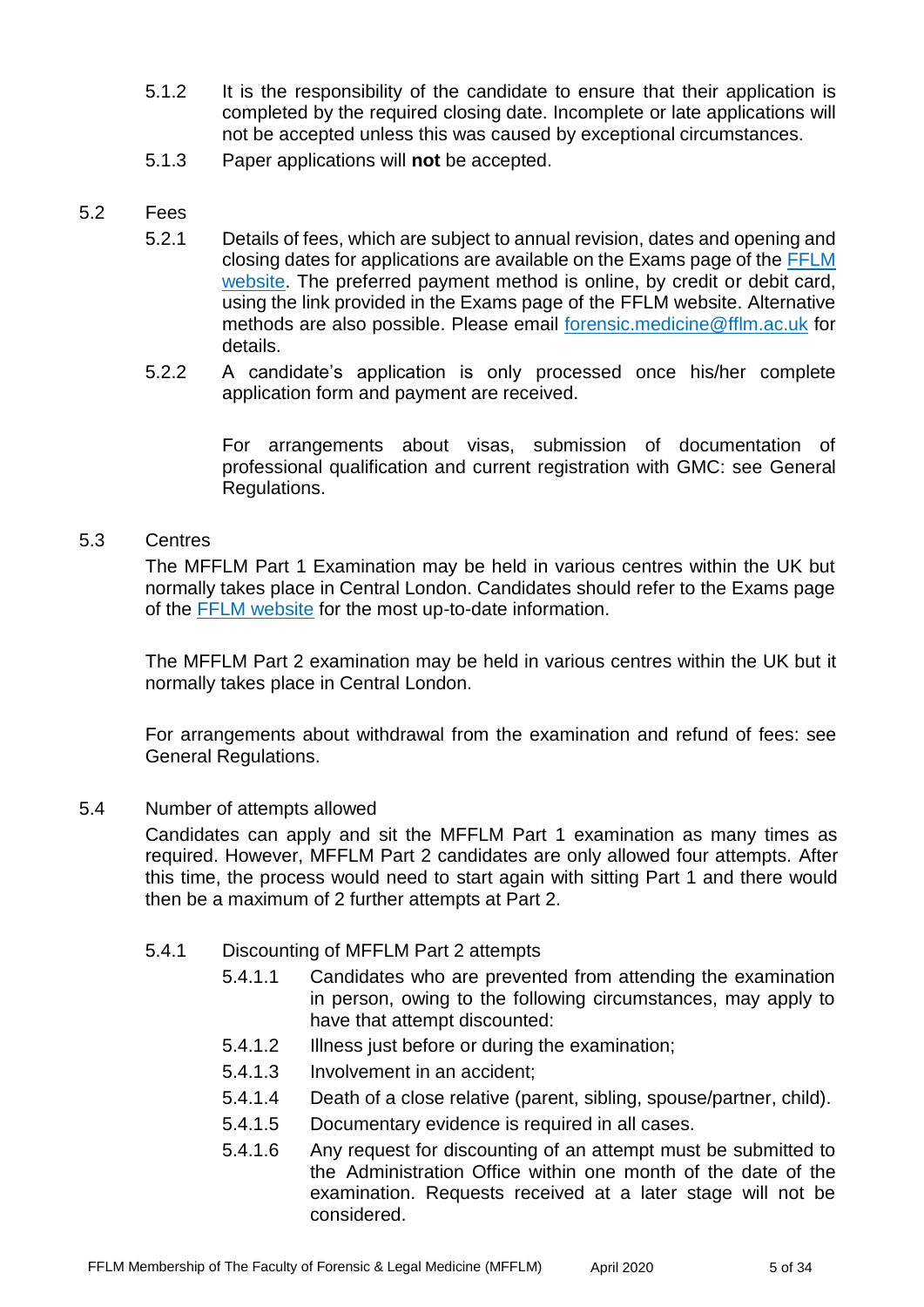- 5.1.2 It is the responsibility of the candidate to ensure that their application is completed by the required closing date. Incomplete or late applications will not be accepted unless this was caused by exceptional circumstances.
- 5.1.3 Paper applications will **not** be accepted.

### 5.2 Fees

- 5.2.1 Details of fees, which are subject to annual revision, dates and opening and closing dates for applications are available on the Exams page of the [FFLM](http://www.fflm.ac.uk/exams)  [website.](http://www.fflm.ac.uk/exams) The preferred payment method is online, by credit or debit card, using the link provided in the Exams page of the FFLM website. Alternative methods are also possible. Please email [forensic.medicine@fflm.ac.uk](mailto:forensic.medicine@fflm.ac.uk) for details.
- 5.2.2 A candidate's application is only processed once his/her complete application form and payment are received.

For arrangements about visas, submission of documentation of professional qualification and current registration with GMC: see General Regulations.

#### 5.3 Centres

The MFFLM Part 1 Examination may be held in various centres within the UK but normally takes place in Central London. Candidates should refer to the Exams page of the [FFLM website](http://www.fflm.ac.uk/exams) for the most up-to-date information.

The MFFLM Part 2 examination may be held in various centres within the UK but it normally takes place in Central London.

For arrangements about withdrawal from the examination and refund of fees: see General Regulations.

#### 5.4 Number of attempts allowed

Candidates can apply and sit the MFFLM Part 1 examination as many times as required. However, MFFLM Part 2 candidates are only allowed four attempts. After this time, the process would need to start again with sitting Part 1 and there would then be a maximum of 2 further attempts at Part 2.

- 5.4.1 Discounting of MFFLM Part 2 attempts
	- 5.4.1.1 Candidates who are prevented from attending the examination in person, owing to the following circumstances, may apply to have that attempt discounted:
	- 5.4.1.2 Illness just before or during the examination;
	- 5.4.1.3 Involvement in an accident;
	- 5.4.1.4 Death of a close relative (parent, sibling, spouse/partner, child).
	- 5.4.1.5 Documentary evidence is required in all cases.
	- 5.4.1.6 Any request for discounting of an attempt must be submitted to the Administration Office within one month of the date of the examination. Requests received at a later stage will not be considered.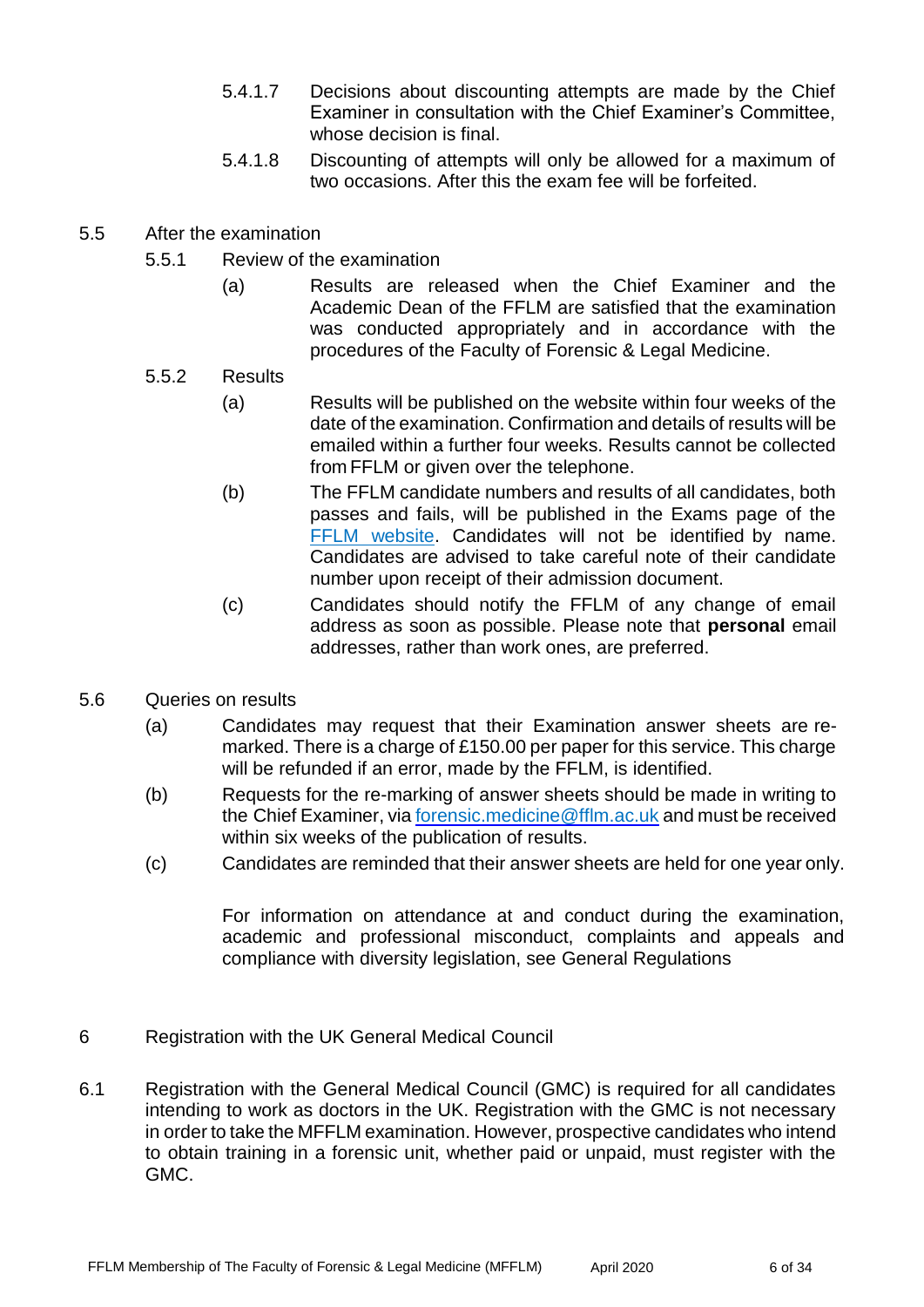- 5.4.1.7 Decisions about discounting attempts are made by the Chief Examiner in consultation with the Chief Examiner's Committee, whose decision is final.
- 5.4.1.8 Discounting of attempts will only be allowed for a maximum of two occasions. After this the exam fee will be forfeited.
- 5.5 After the examination
	- 5.5.1 Review of the examination
		- (a) Results are released when the Chief Examiner and the Academic Dean of the FFLM are satisfied that the examination was conducted appropriately and in accordance with the procedures of the Faculty of Forensic & Legal Medicine.

#### 5.5.2 Results

- (a) Results will be published on the website within four weeks of the date of the examination. Confirmation and details of results will be emailed within a further four weeks. Results cannot be collected from FFLM or given over the telephone.
- (b) The FFLM candidate numbers and results of all candidates, both passes and fails, will be published in the Exams page of the FFLM website. Candidates will not be identified by name. Candidates are advised to take careful note of their candidate number upon receipt of their admission document.
- (c) Candidates should notify the FFLM of any change of email address as soon as possible. Please note that **personal** email addresses, rather than work ones, are preferred.
- 5.6 Queries on results
	- (a) Candidates may request that their Examination answer sheets are remarked. There is a charge of £150.00 per paper for this service. This charge will be refunded if an error, made by the FFLM, is identified.
	- (b) Requests for the re-marking of answer sheets should be made in writing to the Chief Examiner, via [forensic.medicine@fflm.ac.uk](mailto:forensic.medicine@fflm.ac.uk) and must be received within six weeks of the publication of results.
	- (c) Candidates are reminded that their answer sheets are held for one year only.

For information on attendance at and conduct during the examination, academic and professional misconduct, complaints and appeals and compliance with diversity legislation, see General Regulations

- 6 Registration with the UK General Medical Council
- 6.1 Registration with the General Medical Council (GMC) is required for all candidates intending to work as doctors in the UK. Registration with the GMC is not necessary in order to take the MFFLM examination. However, prospective candidates who intend to obtain training in a forensic unit, whether paid or unpaid, must register with the GMC.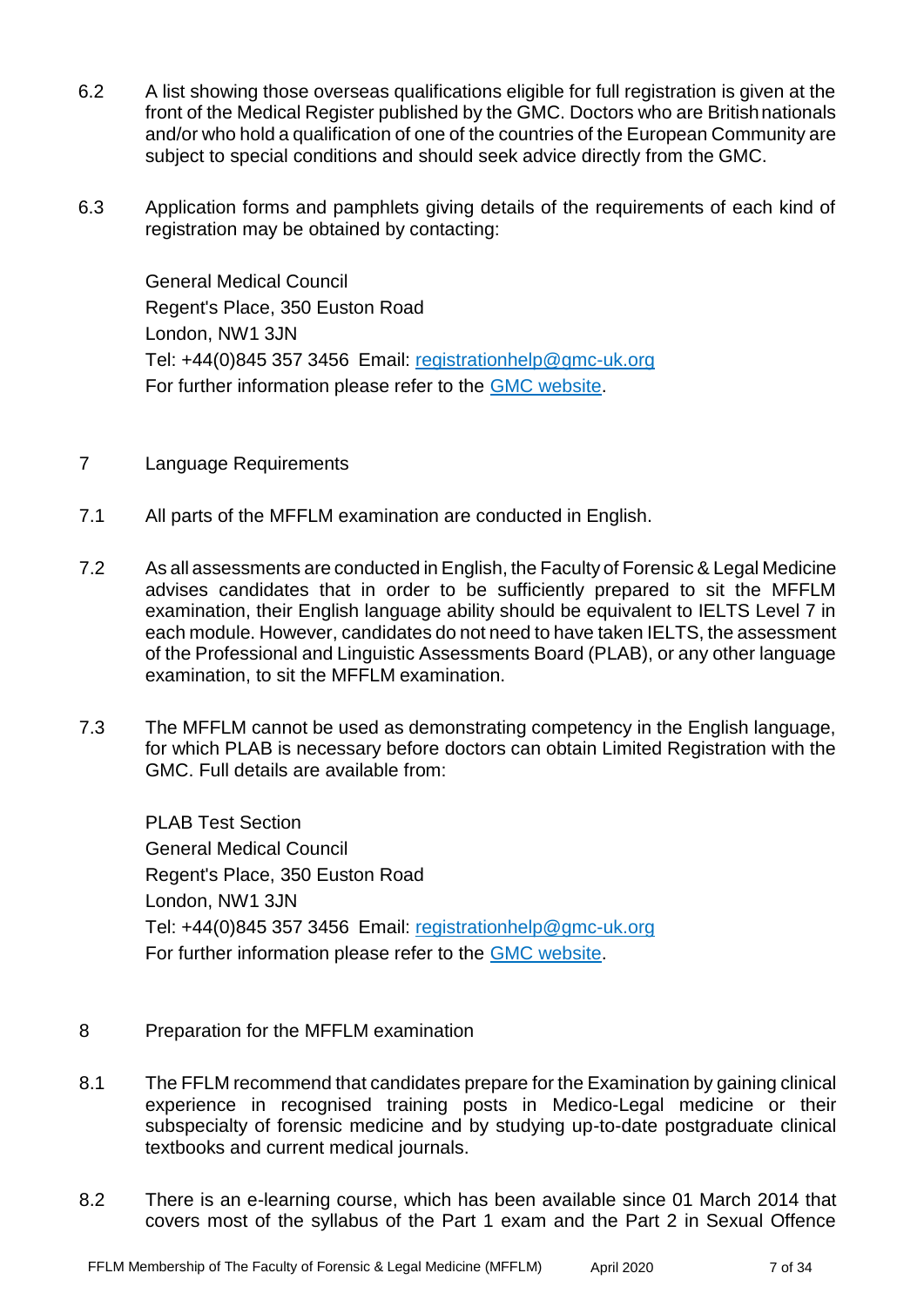- 6.2 A list showing those overseas qualifications eligible for full registration is given at the front of the Medical Register published by the GMC. Doctors who are Britishnationals and/or who hold a qualification of one of the countries of the European Community are subject to special conditions and should seek advice directly from the GMC.
- 6.3 Application forms and pamphlets giving details of the requirements of each kind of registration may be obtained by contacting:

General Medical Council Regent's Place, 350 Euston Road London, NW1 3JN Tel: +44(0)845 357 3456 Email: [registrationhelp@gmc-uk.org](mailto:registrationhelp@gmc-uk.org) For further information please refer to the [GMC website.](http://www.gmc-uk.org/)

- 7 Language Requirements
- 7.1 All parts of the MFFLM examination are conducted in English.
- 7.2 As all assessments are conducted in English, the Faculty of Forensic & Legal Medicine advises candidates that in order to be sufficiently prepared to sit the MFFLM examination, their English language ability should be equivalent to IELTS Level 7 in each module. However, candidates do not need to have taken IELTS, the assessment of the Professional and Linguistic Assessments Board (PLAB), or any other language examination, to sit the MFFLM examination.
- 7.3 The MFFLM cannot be used as demonstrating competency in the English language, for which PLAB is necessary before doctors can obtain Limited Registration with the GMC. Full details are available from:

PLAB Test Section General Medical Council Regent's Place, 350 Euston Road London, NW1 3JN Tel: +44(0)845 357 3456 Email: [registrationhelp@gmc-uk.org](mailto:registrationhelp@gmc-uk.org) For further information please refer to the [GMC website.](http://www.gmc-uk.org/)

- 8 Preparation for the MFFLM examination
- 8.1 The FFLM recommend that candidates prepare for the Examination by gaining clinical experience in recognised training posts in Medico-Legal medicine or their subspecialty of forensic medicine and by studying up-to-date postgraduate clinical textbooks and current medical journals.
- 8.2 There is an e-learning course, which has been available since 01 March 2014 that covers most of the syllabus of the Part 1 exam and the Part 2 in Sexual Offence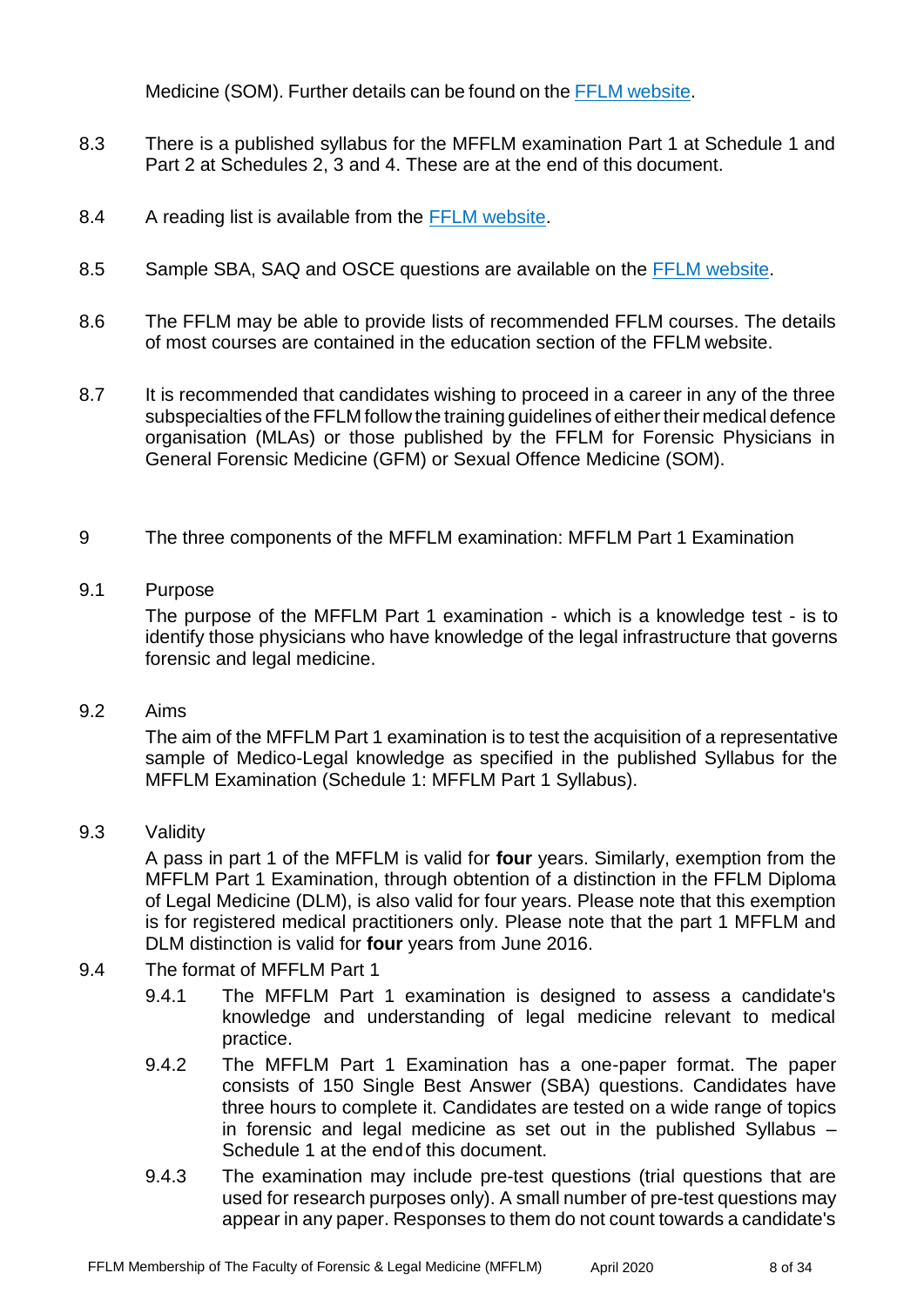Medicine (SOM). Further details can be found on the FFLM [website.](http://www.fflm.ac.uk/e-%20learning)

- 8.3 There is a published syllabus for the MFFLM examination Part 1 at Schedule 1 and Part 2 at Schedules 2, 3 and 4. These are at the end of this document.
- 8.4 A reading list is available from the [FFLM website.](http://www.fflm.ac.uk/exams/mfflm)
- 8.5 Sample SBA, SAQ and OSCE questions are available on the [FFLM website.](http://www.fflm.ac.uk/exams/mfflm)
- 8.6 The FFLM may be able to provide lists of recommended FFLM courses. The details of most courses are contained in the education section of the FFLM website.
- 8.7 It is recommended that candidates wishing to proceed in a career in any of the three subspecialties of the FFLM follow the training quidelines of either their medical defence organisation (MLAs) or those published by the FFLM for Forensic Physicians in General Forensic Medicine (GFM) or Sexual Offence Medicine (SOM).
- 9 The three components of the MFFLM examination: MFFLM Part 1 Examination

#### 9.1 Purpose

The purpose of the MFFLM Part 1 examination - which is a knowledge test - is to identify those physicians who have knowledge of the legal infrastructure that governs forensic and legal medicine.

## 9.2 Aims

The aim of the MFFLM Part 1 examination is to test the acquisition of a representative sample of Medico-Legal knowledge as specified in the published Syllabus for the MFFLM Examination (Schedule 1: MFFLM Part 1 Syllabus).

#### 9.3 Validity

A pass in part 1 of the MFFLM is valid for **four** years. Similarly, exemption from the MFFLM Part 1 Examination, through obtention of a distinction in the FFLM Diploma of Legal Medicine (DLM), is also valid for four years. Please note that this exemption is for registered medical practitioners only. Please note that the part 1 MFFLM and DLM distinction is valid for **four** years from June 2016.

#### 9.4 The format of MFFLM Part 1

- 9.4.1 The MFFLM Part 1 examination is designed to assess a candidate's knowledge and understanding of legal medicine relevant to medical practice.
- 9.4.2 The MFFLM Part 1 Examination has a one-paper format. The paper consists of 150 Single Best Answer (SBA) questions. Candidates have three hours to complete it. Candidates are tested on a wide range of topics in forensic and legal medicine as set out in the published Syllabus – Schedule 1 at the endof this document.
- 9.4.3 The examination may include pre-test questions (trial questions that are used for research purposes only). A small number of pre-test questions may appear in any paper. Responses to them do not count towards a candidate's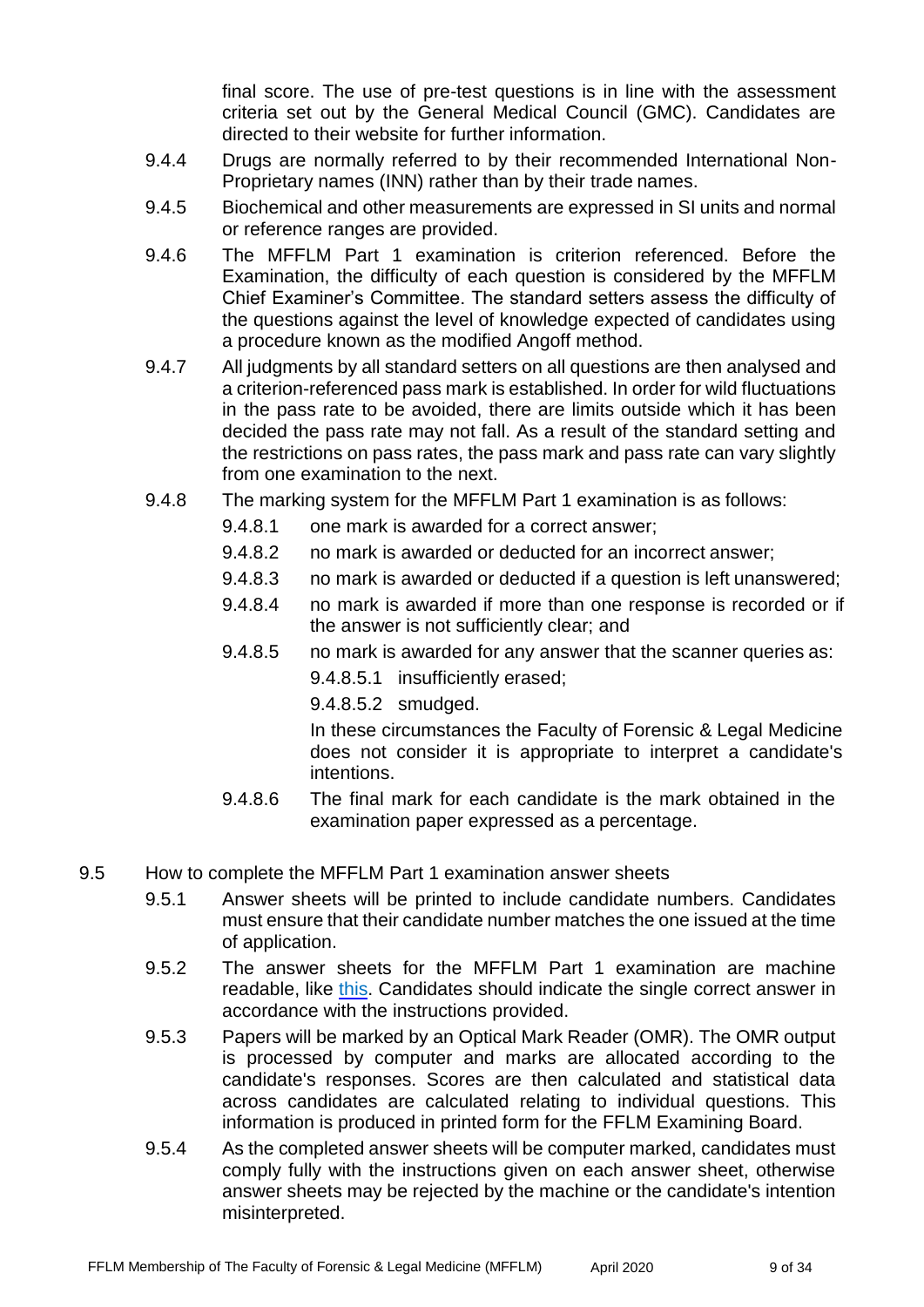final score. The use of pre-test questions is in line with the assessment criteria set out by the General Medical Council (GMC). Candidates are directed to their website for further information.

- 9.4.4 Drugs are normally referred to by their recommended International Non-Proprietary names (INN) rather than by their trade names.
- 9.4.5 Biochemical and other measurements are expressed in SI units and normal or reference ranges are provided.
- 9.4.6 The MFFLM Part 1 examination is criterion referenced. Before the Examination, the difficulty of each question is considered by the MFFLM Chief Examiner's Committee. The standard setters assess the difficulty of the questions against the level of knowledge expected of candidates using a procedure known as the modified Angoff method.
- 9.4.7 All judgments by all standard setters on all questions are then analysed and a criterion-referenced pass mark is established. In order for wild fluctuations in the pass rate to be avoided, there are limits outside which it has been decided the pass rate may not fall. As a result of the standard setting and the restrictions on pass rates, the pass mark and pass rate can vary slightly from one examination to the next.
- 9.4.8 The marking system for the MFFLM Part 1 examination is as follows:
	- 9.4.8.1 one mark is awarded for a correct answer;
	- 9.4.8.2 no mark is awarded or deducted for an incorrect answer;
	- 9.4.8.3 no mark is awarded or deducted if a question is left unanswered;
	- 9.4.8.4 no mark is awarded if more than one response is recorded or if the answer is not sufficiently clear; and
	- 9.4.8.5 no mark is awarded for any answer that the scanner queries as:
		- 9.4.8.5.1 insufficiently erased;
		- 9.4.8.5.2 smudged.

In these circumstances the Faculty of Forensic & Legal Medicine does not consider it is appropriate to interpret a candidate's intentions.

- 9.4.8.6 The final mark for each candidate is the mark obtained in the examination paper expressed as a percentage.
- 9.5 How to complete the MFFLM Part 1 examination answer sheets
	- 9.5.1 Answer sheets will be printed to include candidate numbers. Candidates must ensure that their candidate number matches the one issued at the time of application.
	- 9.5.2 The answer sheets for the MFFLM Part 1 examination are machine readable, like [this.](https://fflm.ac.uk/wp-content/uploads/2017/07/801_Edumetric_en.pdf) Candidates should indicate the single correct answer in accordance with the instructions provided.
	- 9.5.3 Papers will be marked by an Optical Mark Reader (OMR). The OMR output is processed by computer and marks are allocated according to the candidate's responses. Scores are then calculated and statistical data across candidates are calculated relating to individual questions. This information is produced in printed form for the FFLM Examining Board.
	- 9.5.4 As the completed answer sheets will be computer marked, candidates must comply fully with the instructions given on each answer sheet, otherwise answer sheets may be rejected by the machine or the candidate's intention misinterpreted.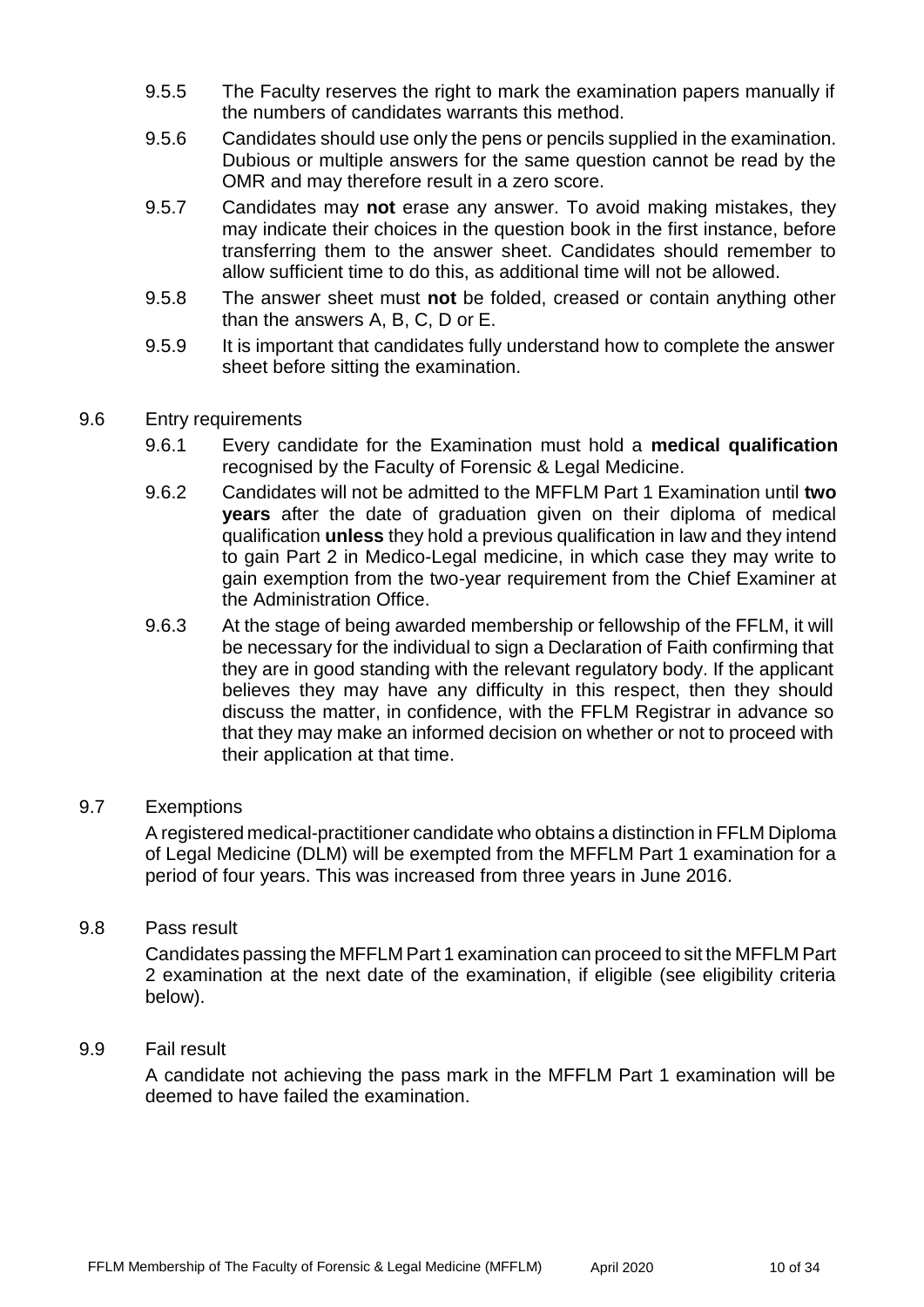- 9.5.5 The Faculty reserves the right to mark the examination papers manually if the numbers of candidates warrants this method.
- 9.5.6 Candidates should use only the pens or pencils supplied in the examination. Dubious or multiple answers for the same question cannot be read by the OMR and may therefore result in a zero score.
- 9.5.7 Candidates may **not** erase any answer. To avoid making mistakes, they may indicate their choices in the question book in the first instance, before transferring them to the answer sheet. Candidates should remember to allow sufficient time to do this, as additional time will not be allowed.
- 9.5.8 The answer sheet must **not** be folded, creased or contain anything other than the answers A, B, C, D or E.
- 9.5.9 It is important that candidates fully understand how to complete the answer sheet before sitting the examination.
- 9.6 Entry requirements
	- 9.6.1 Every candidate for the Examination must hold a **medical qualification** recognised by the Faculty of Forensic & Legal Medicine.
	- 9.6.2 Candidates will not be admitted to the MFFLM Part 1 Examination until **two years** after the date of graduation given on their diploma of medical qualification **unless** they hold a previous qualification in law and they intend to gain Part 2 in Medico-Legal medicine, in which case they may write to gain exemption from the two-year requirement from the Chief Examiner at the Administration Office.
	- 9.6.3 At the stage of being awarded membership or fellowship of the FFLM, it will be necessary for the individual to sign a Declaration of Faith confirming that they are in good standing with the relevant regulatory body. If the applicant believes they may have any difficulty in this respect, then they should discuss the matter, in confidence, with the FFLM Registrar in advance so that they may make an informed decision on whether or not to proceed with their application at that time.

#### 9.7 Exemptions

A registered medical-practitioner candidate who obtains a distinction in FFLM Diploma of Legal Medicine (DLM) will be exempted from the MFFLM Part 1 examination for a period of four years. This was increased from three years in June 2016.

#### 9.8 Pass result

Candidates passing the MFFLM Part 1 examination can proceed to sit the MFFLM Part 2 examination at the next date of the examination, if eligible (see eligibility criteria below).

#### 9.9 Fail result

A candidate not achieving the pass mark in the MFFLM Part 1 examination will be deemed to have failed the examination.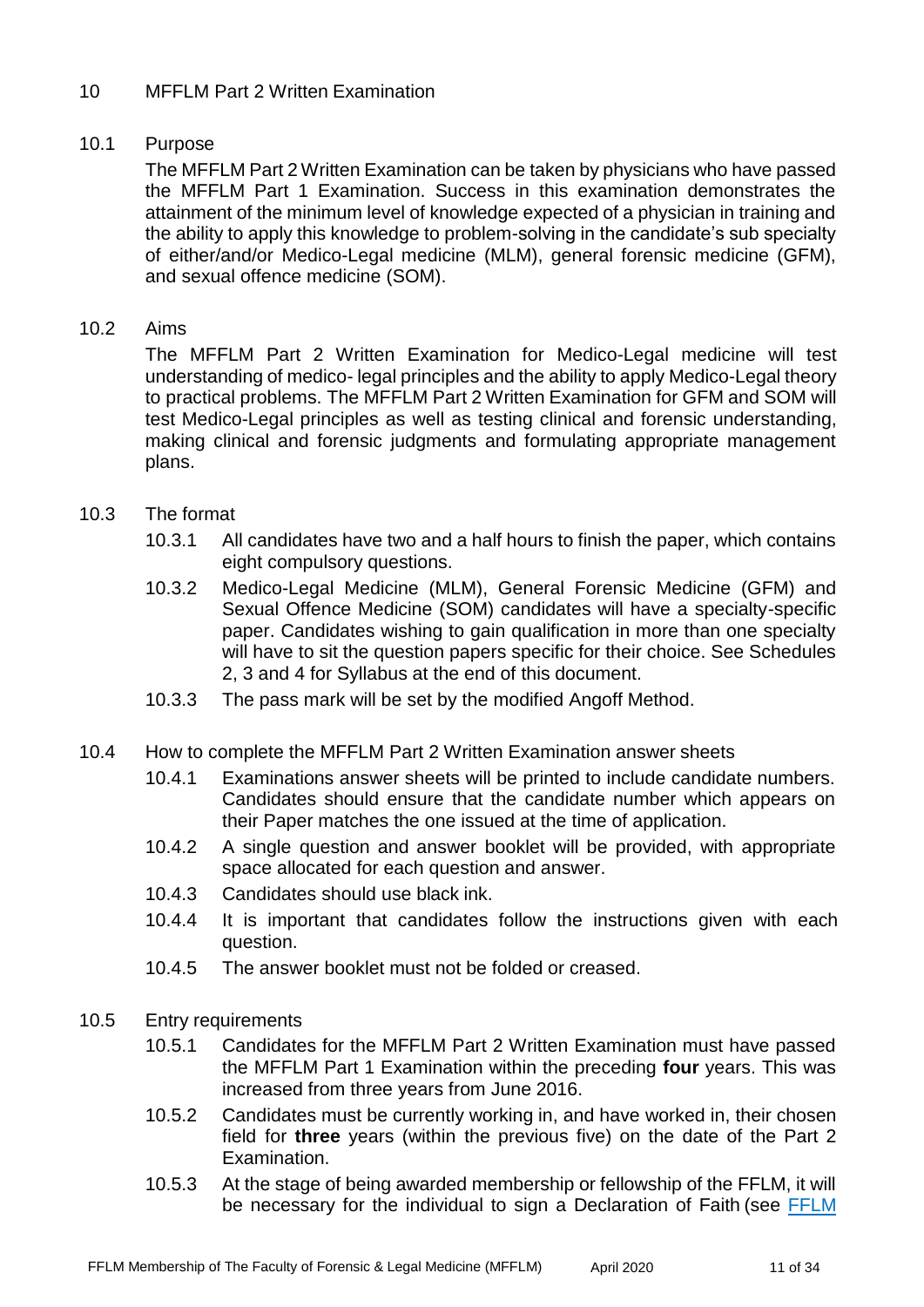#### 10 MFFLM Part 2 Written Examination

#### 10.1 Purpose

The MFFLM Part 2 Written Examination can be taken by physicians who have passed the MFFLM Part 1 Examination. Success in this examination demonstrates the attainment of the minimum level of knowledge expected of a physician in training and the ability to apply this knowledge to problem-solving in the candidate's sub specialty of either/and/or Medico-Legal medicine (MLM), general forensic medicine (GFM), and sexual offence medicine (SOM).

#### 10.2 Aims

The MFFLM Part 2 Written Examination for Medico-Legal medicine will test understanding of medico- legal principles and the ability to apply Medico-Legal theory to practical problems. The MFFLM Part 2 Written Examination for GFM and SOM will test Medico-Legal principles as well as testing clinical and forensic understanding, making clinical and forensic judgments and formulating appropriate management plans.

#### 10.3 The format

- 10.3.1 All candidates have two and a half hours to finish the paper, which contains eight compulsory questions.
- 10.3.2 Medico-Legal Medicine (MLM), General Forensic Medicine (GFM) and Sexual Offence Medicine (SOM) candidates will have a specialty-specific paper. Candidates wishing to gain qualification in more than one specialty will have to sit the question papers specific for their choice. See Schedules 2, 3 and 4 for Syllabus at the end of this document.
- 10.3.3 The pass mark will be set by the modified Angoff Method.
- 10.4 How to complete the MFFLM Part 2 Written Examination answer sheets
	- 10.4.1 Examinations answer sheets will be printed to include candidate numbers. Candidates should ensure that the candidate number which appears on their Paper matches the one issued at the time of application.
	- 10.4.2 A single question and answer booklet will be provided, with appropriate space allocated for each question and answer.
	- 10.4.3 Candidates should use black ink.
	- 10.4.4 It is important that candidates follow the instructions given with each question.
	- 10.4.5 The answer booklet must not be folded or creased.
- 10.5 Entry requirements
	- 10.5.1 Candidates for the MFFLM Part 2 Written Examination must have passed the MFFLM Part 1 Examination within the preceding **four** years. This was increased from three years from June 2016.
	- 10.5.2 Candidates must be currently working in, and have worked in, their chosen field for **three** years (within the previous five) on the date of the Part 2 Examination.
	- 10.5.3 At the stage of being awarded membership or fellowship of the FFLM, it will be necessary for the individual to sign a Declaration of Faith (see [FFLM](http://fflm.ac.uk/upload/documents/1335191343.pdf)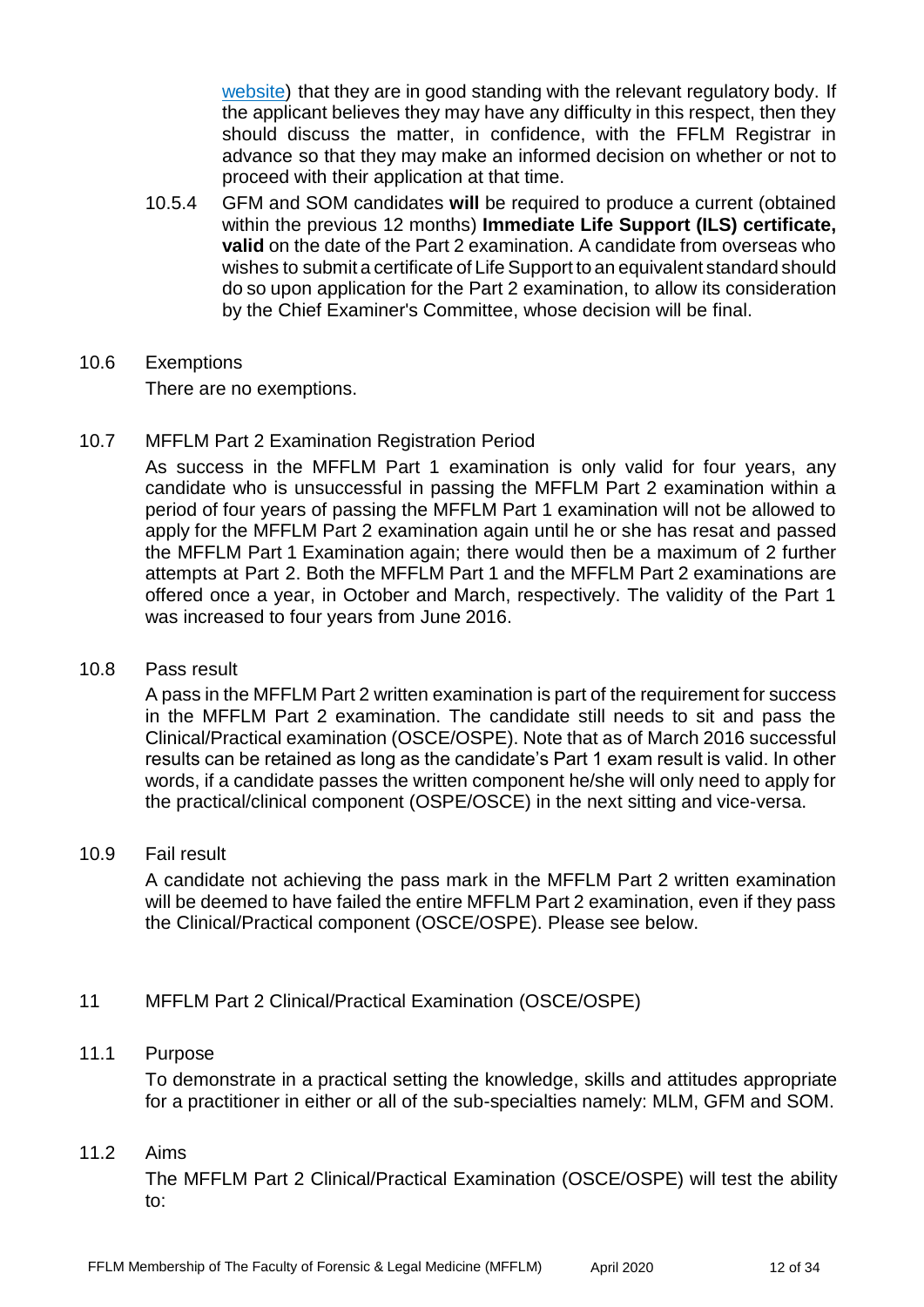[website\)](http://fflm.ac.uk/upload/documents/1335191343.pdf) that they are in good standing with the relevant regulatory body. If the applicant believes they may have any difficulty in this respect, then they should discuss the matter, in confidence, with the FFLM Registrar in advance so that they may make an informed decision on whether or not to proceed with their application at that time.

- 10.5.4 GFM and SOM candidates **will** be required to produce a current (obtained within the previous 12 months) **Immediate Life Support (ILS) certificate, valid** on the date of the Part 2 examination. A candidate from overseas who wishes to submit a certificate of Life Support to an equivalent standard should do so upon application for the Part 2 examination, to allow its consideration by the Chief Examiner's Committee, whose decision will be final.
- 10.6 Exemptions There are no exemptions.
- 10.7 MFFLM Part 2 Examination Registration Period

As success in the MFFLM Part 1 examination is only valid for four years, any candidate who is unsuccessful in passing the MFFLM Part 2 examination within a period of four years of passing the MFFLM Part 1 examination will not be allowed to apply for the MFFLM Part 2 examination again until he or she has resat and passed the MFFLM Part 1 Examination again; there would then be a maximum of 2 further attempts at Part 2. Both the MFFLM Part 1 and the MFFLM Part 2 examinations are offered once a year, in October and March, respectively. The validity of the Part 1 was increased to four years from June 2016.

#### 10.8 Pass result

A pass in the MFFLM Part 2 written examination is part of the requirement for success in the MFFLM Part 2 examination. The candidate still needs to sit and pass the Clinical/Practical examination (OSCE/OSPE). Note that as of March 2016 successful results can be retained as long as the candidate's Part 1 exam result is valid. In other words, if a candidate passes the written component he/she will only need to apply for the practical/clinical component (OSPE/OSCE) in the next sitting and vice-versa.

#### 10.9 Fail result

A candidate not achieving the pass mark in the MFFLM Part 2 written examination will be deemed to have failed the entire MFFLM Part 2 examination, even if they pass the Clinical/Practical component (OSCE/OSPE). Please see below.

#### 11 MFFLM Part 2 Clinical/Practical Examination (OSCE/OSPE)

#### 11.1 Purpose

To demonstrate in a practical setting the knowledge, skills and attitudes appropriate for a practitioner in either or all of the sub-specialties namely: MLM, GFM and SOM.

#### 11.2 Aims

The MFFLM Part 2 Clinical/Practical Examination (OSCE/OSPE) will test the ability to: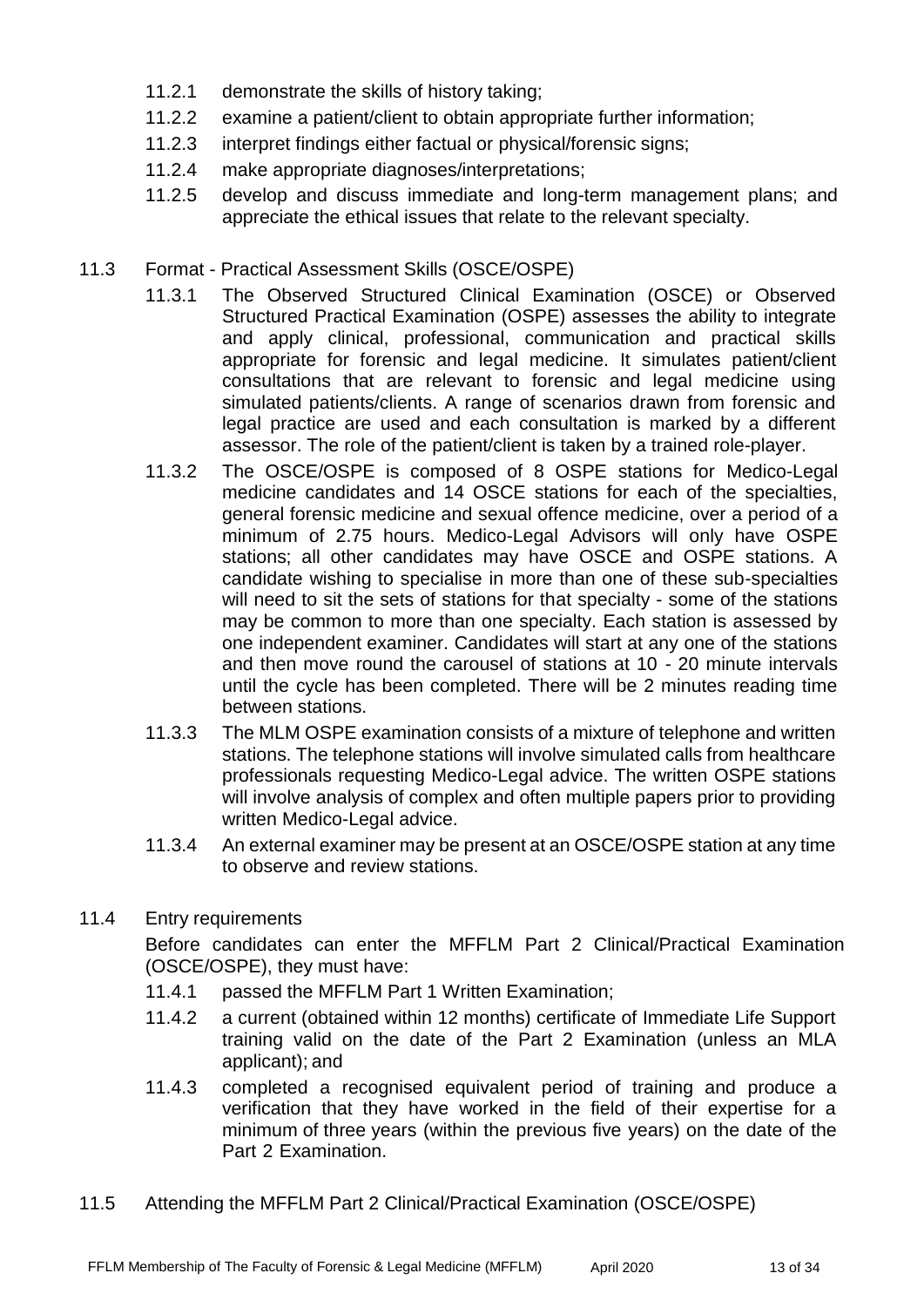- 11.2.1 demonstrate the skills of history taking;
- 11.2.2 examine a patient/client to obtain appropriate further information;
- 11.2.3 interpret findings either factual or physical/forensic signs;
- 11.2.4 make appropriate diagnoses/interpretations;
- 11.2.5 develop and discuss immediate and long-term management plans; and appreciate the ethical issues that relate to the relevant specialty.
- 11.3 Format Practical Assessment Skills (OSCE/OSPE)
	- 11.3.1 The Observed Structured Clinical Examination (OSCE) or Observed Structured Practical Examination (OSPE) assesses the ability to integrate and apply clinical, professional, communication and practical skills appropriate for forensic and legal medicine. It simulates patient/client consultations that are relevant to forensic and legal medicine using simulated patients/clients. A range of scenarios drawn from forensic and legal practice are used and each consultation is marked by a different assessor. The role of the patient/client is taken by a trained role-player.
	- 11.3.2 The OSCE/OSPE is composed of 8 OSPE stations for Medico-Legal medicine candidates and 14 OSCE stations for each of the specialties, general forensic medicine and sexual offence medicine, over a period of a minimum of 2.75 hours. Medico-Legal Advisors will only have OSPE stations; all other candidates may have OSCE and OSPE stations. A candidate wishing to specialise in more than one of these sub-specialties will need to sit the sets of stations for that specialty - some of the stations may be common to more than one specialty. Each station is assessed by one independent examiner. Candidates will start at any one of the stations and then move round the carousel of stations at 10 - 20 minute intervals until the cycle has been completed. There will be 2 minutes reading time between stations.
	- 11.3.3 The MLM OSPE examination consists of a mixture of telephone and written stations. The telephone stations will involve simulated calls from healthcare professionals requesting Medico-Legal advice. The written OSPE stations will involve analysis of complex and often multiple papers prior to providing written Medico-Legal advice.
	- 11.3.4 An external examiner may be present at an OSCE/OSPE station at any time to observe and review stations.
- 11.4 Entry requirements

Before candidates can enter the MFFLM Part 2 Clinical/Practical Examination (OSCE/OSPE), they must have:

- 11.4.1 passed the MFFLM Part 1 Written Examination;
- 11.4.2 a current (obtained within 12 months) certificate of Immediate Life Support training valid on the date of the Part 2 Examination (unless an MLA applicant); and
- 11.4.3 completed a recognised equivalent period of training and produce a verification that they have worked in the field of their expertise for a minimum of three years (within the previous five years) on the date of the Part 2 Examination.
- 11.5 Attending the MFFLM Part 2 Clinical/Practical Examination (OSCE/OSPE)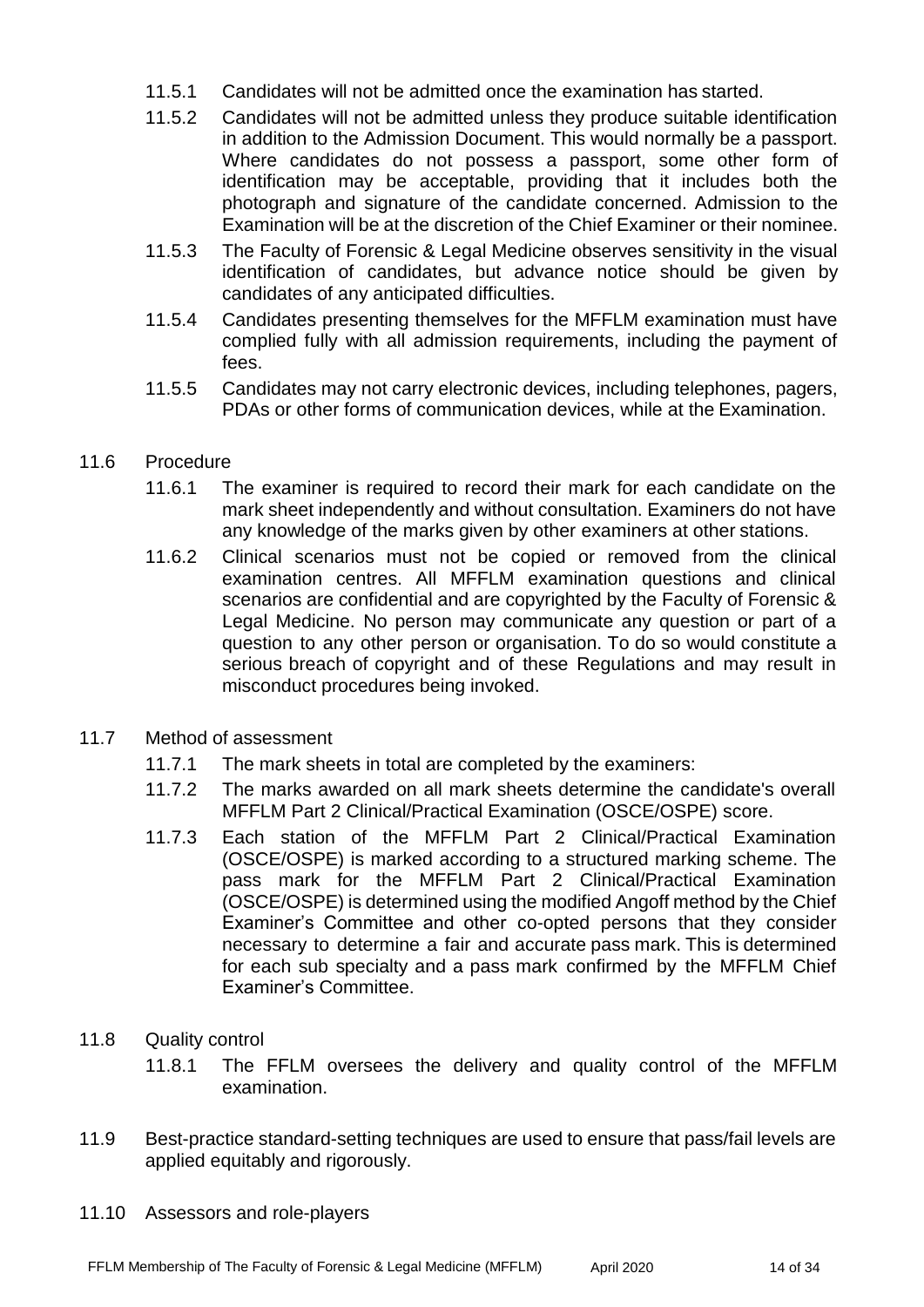- 11.5.1 Candidates will not be admitted once the examination has started.
- 11.5.2 Candidates will not be admitted unless they produce suitable identification in addition to the Admission Document. This would normally be a passport. Where candidates do not possess a passport, some other form of identification may be acceptable, providing that it includes both the photograph and signature of the candidate concerned. Admission to the Examination will be at the discretion of the Chief Examiner or their nominee.
- 11.5.3 The Faculty of Forensic & Legal Medicine observes sensitivity in the visual identification of candidates, but advance notice should be given by candidates of any anticipated difficulties.
- 11.5.4 Candidates presenting themselves for the MFFLM examination must have complied fully with all admission requirements, including the payment of fees.
- 11.5.5 Candidates may not carry electronic devices, including telephones, pagers, PDAs or other forms of communication devices, while at the Examination.
- 11.6 Procedure
	- 11.6.1 The examiner is required to record their mark for each candidate on the mark sheet independently and without consultation. Examiners do not have any knowledge of the marks given by other examiners at other stations.
	- 11.6.2 Clinical scenarios must not be copied or removed from the clinical examination centres. All MFFLM examination questions and clinical scenarios are confidential and are copyrighted by the Faculty of Forensic & Legal Medicine. No person may communicate any question or part of a question to any other person or organisation. To do so would constitute a serious breach of copyright and of these Regulations and may result in misconduct procedures being invoked.
- 11.7 Method of assessment
	- 11.7.1 The mark sheets in total are completed by the examiners:
	- 11.7.2 The marks awarded on all mark sheets determine the candidate's overall MFFLM Part 2 Clinical/Practical Examination (OSCE/OSPE) score.
	- 11.7.3 Each station of the MFFLM Part 2 Clinical/Practical Examination (OSCE/OSPE) is marked according to a structured marking scheme. The pass mark for the MFFLM Part 2 Clinical/Practical Examination (OSCE/OSPE) is determined using the modified Angoff method by the Chief Examiner's Committee and other co-opted persons that they consider necessary to determine a fair and accurate pass mark. This is determined for each sub specialty and a pass mark confirmed by the MFFLM Chief Examiner's Committee.
- 11.8 Quality control
	- 11.8.1 The FFLM oversees the delivery and quality control of the MFFLM examination.
- 11.9 Best-practice standard-setting techniques are used to ensure that pass/fail levels are applied equitably and rigorously.
- 11.10 Assessors and role-players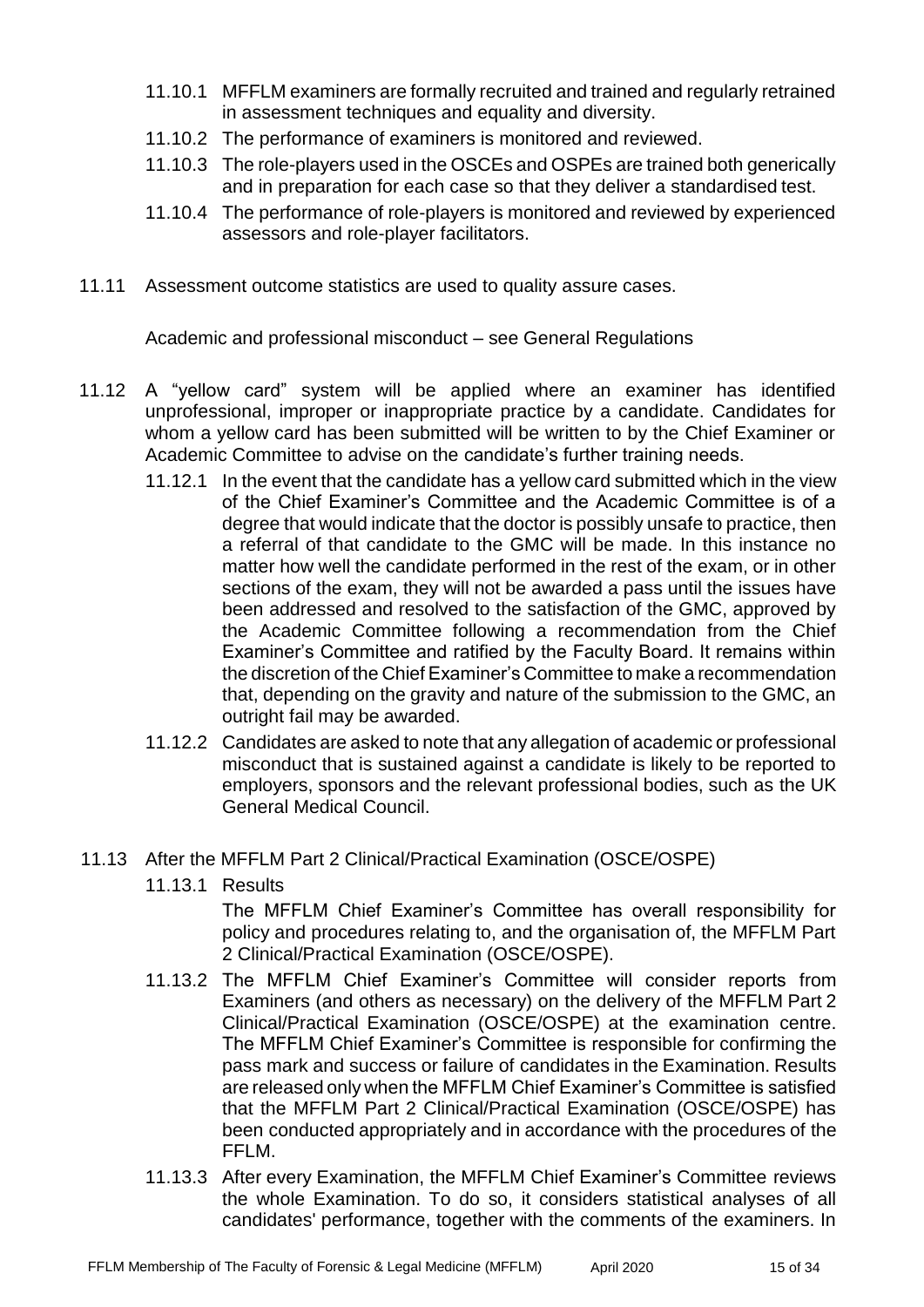- 11.10.1 MFFLM examiners are formally recruited and trained and regularly retrained in assessment techniques and equality and diversity.
- 11.10.2 The performance of examiners is monitored and reviewed.
- 11.10.3 The role-players used in the OSCEs and OSPEs are trained both generically and in preparation for each case so that they deliver a standardised test.
- 11.10.4 The performance of role-players is monitored and reviewed by experienced assessors and role-player facilitators.
- 11.11 Assessment outcome statistics are used to quality assure cases.

Academic and professional misconduct – see General Regulations

- 11.12 A "yellow card" system will be applied where an examiner has identified unprofessional, improper or inappropriate practice by a candidate. Candidates for whom a yellow card has been submitted will be written to by the Chief Examiner or Academic Committee to advise on the candidate's further training needs.
	- 11.12.1 In the event that the candidate has a yellow card submitted which in the view of the Chief Examiner's Committee and the Academic Committee is of a degree that would indicate that the doctor is possibly unsafe to practice, then a referral of that candidate to the GMC will be made. In this instance no matter how well the candidate performed in the rest of the exam, or in other sections of the exam, they will not be awarded a pass until the issues have been addressed and resolved to the satisfaction of the GMC, approved by the Academic Committee following a recommendation from the Chief Examiner's Committee and ratified by the Faculty Board. It remains within the discretion of the Chief Examiner's Committee to make a recommendation that, depending on the gravity and nature of the submission to the GMC, an outright fail may be awarded.
	- 11.12.2 Candidates are asked to note that any allegation of academic or professional misconduct that is sustained against a candidate is likely to be reported to employers, sponsors and the relevant professional bodies, such as the UK General Medical Council.
- 11.13 After the MFFLM Part 2 Clinical/Practical Examination (OSCE/OSPE)
	- 11.13.1 Results

The MFFLM Chief Examiner's Committee has overall responsibility for policy and procedures relating to, and the organisation of, the MFFLM Part 2 Clinical/Practical Examination (OSCE/OSPE).

- 11.13.2 The MFFLM Chief Examiner's Committee will consider reports from Examiners (and others as necessary) on the delivery of the MFFLM Part 2 Clinical/Practical Examination (OSCE/OSPE) at the examination centre. The MFFLM Chief Examiner's Committee is responsible for confirming the pass mark and success or failure of candidates in the Examination. Results are released only when the MFFLM Chief Examiner's Committee is satisfied that the MFFLM Part 2 Clinical/Practical Examination (OSCE/OSPE) has been conducted appropriately and in accordance with the procedures of the FFLM.
- 11.13.3 After every Examination, the MFFLM Chief Examiner's Committee reviews the whole Examination. To do so, it considers statistical analyses of all candidates' performance, together with the comments of the examiners. In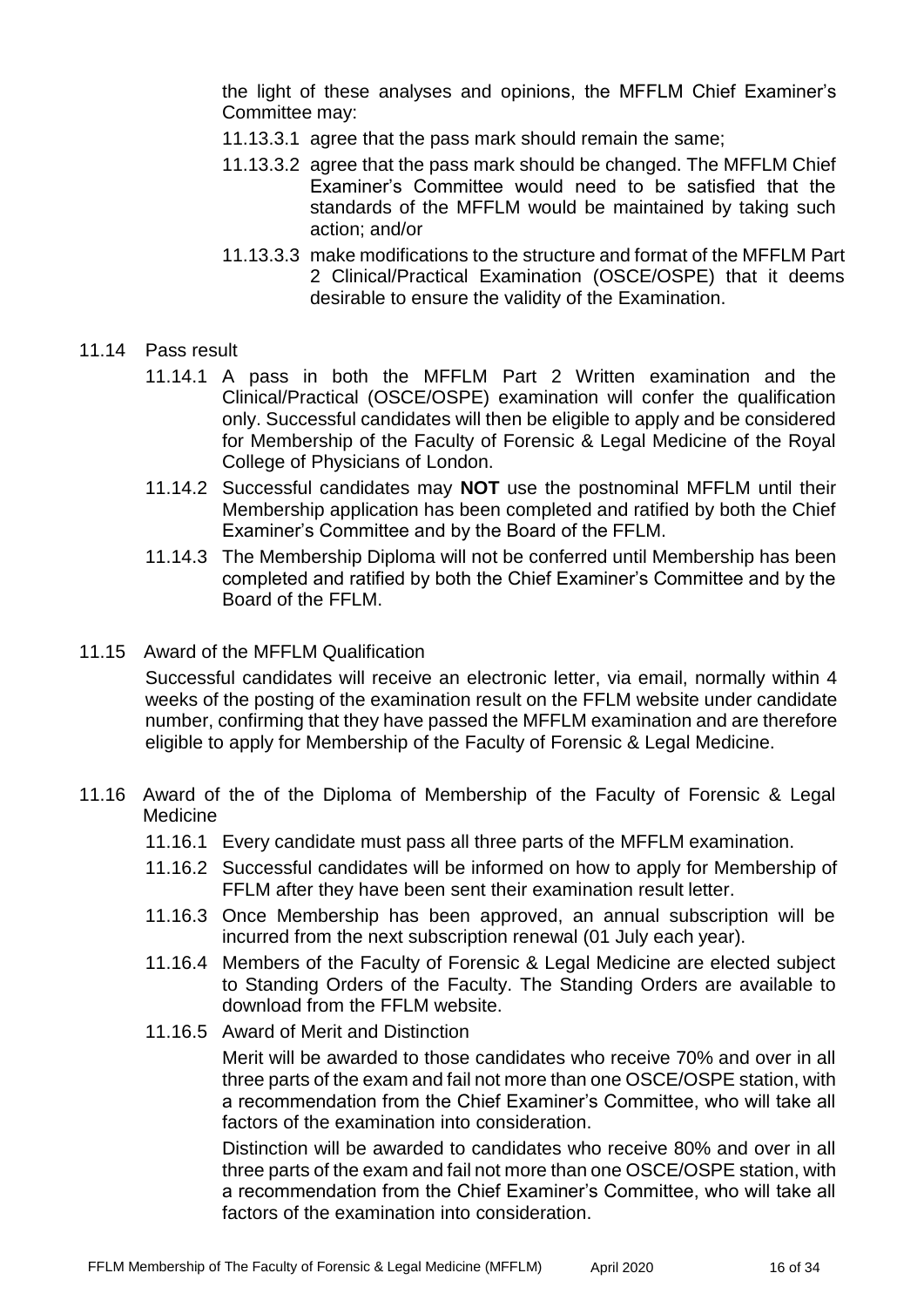the light of these analyses and opinions, the MFFLM Chief Examiner's Committee may:

- 11.13.3.1 agree that the pass mark should remain the same;
- 11.13.3.2 agree that the pass mark should be changed. The MFFLM Chief Examiner's Committee would need to be satisfied that the standards of the MFFLM would be maintained by taking such action; and/or
- 11.13.3.3 make modifications to the structure and format of the MFFLM Part 2 Clinical/Practical Examination (OSCE/OSPE) that it deems desirable to ensure the validity of the Examination.

#### 11.14 Pass result

- 11.14.1 A pass in both the MFFLM Part 2 Written examination and the Clinical/Practical (OSCE/OSPE) examination will confer the qualification only. Successful candidates will then be eligible to apply and be considered for Membership of the Faculty of Forensic & Legal Medicine of the Royal College of Physicians of London.
- 11.14.2 Successful candidates may **NOT** use the postnominal MFFLM until their Membership application has been completed and ratified by both the Chief Examiner's Committee and by the Board of the FFLM.
- 11.14.3 The Membership Diploma will not be conferred until Membership has been completed and ratified by both the Chief Examiner's Committee and by the Board of the FFLM.
- 11.15 Award of the MFFLM Qualification

Successful candidates will receive an electronic letter, via email, normally within 4 weeks of the posting of the examination result on the FFLM website under candidate number, confirming that they have passed the MFFLM examination and are therefore eligible to apply for Membership of the Faculty of Forensic & Legal Medicine.

- 11.16 Award of the of the Diploma of Membership of the Faculty of Forensic & Legal Medicine
	- 11.16.1 Every candidate must pass all three parts of the MFFLM examination.
	- 11.16.2 Successful candidates will be informed on how to apply for Membership of FFLM after they have been sent their examination result letter.
	- 11.16.3 Once Membership has been approved, an annual subscription will be incurred from the next subscription renewal (01 July each year).
	- 11.16.4 Members of the Faculty of Forensic & Legal Medicine are elected subject to Standing Orders of the Faculty. The Standing Orders are available to download from the FFLM website.
	- 11.16.5 Award of Merit and Distinction

Merit will be awarded to those candidates who receive 70% and over in all three parts of the exam and fail not more than one OSCE/OSPE station, with a recommendation from the Chief Examiner's Committee, who will take all factors of the examination into consideration.

Distinction will be awarded to candidates who receive 80% and over in all three parts of the exam and fail not more than one OSCE/OSPE station, with a recommendation from the Chief Examiner's Committee, who will take all factors of the examination into consideration.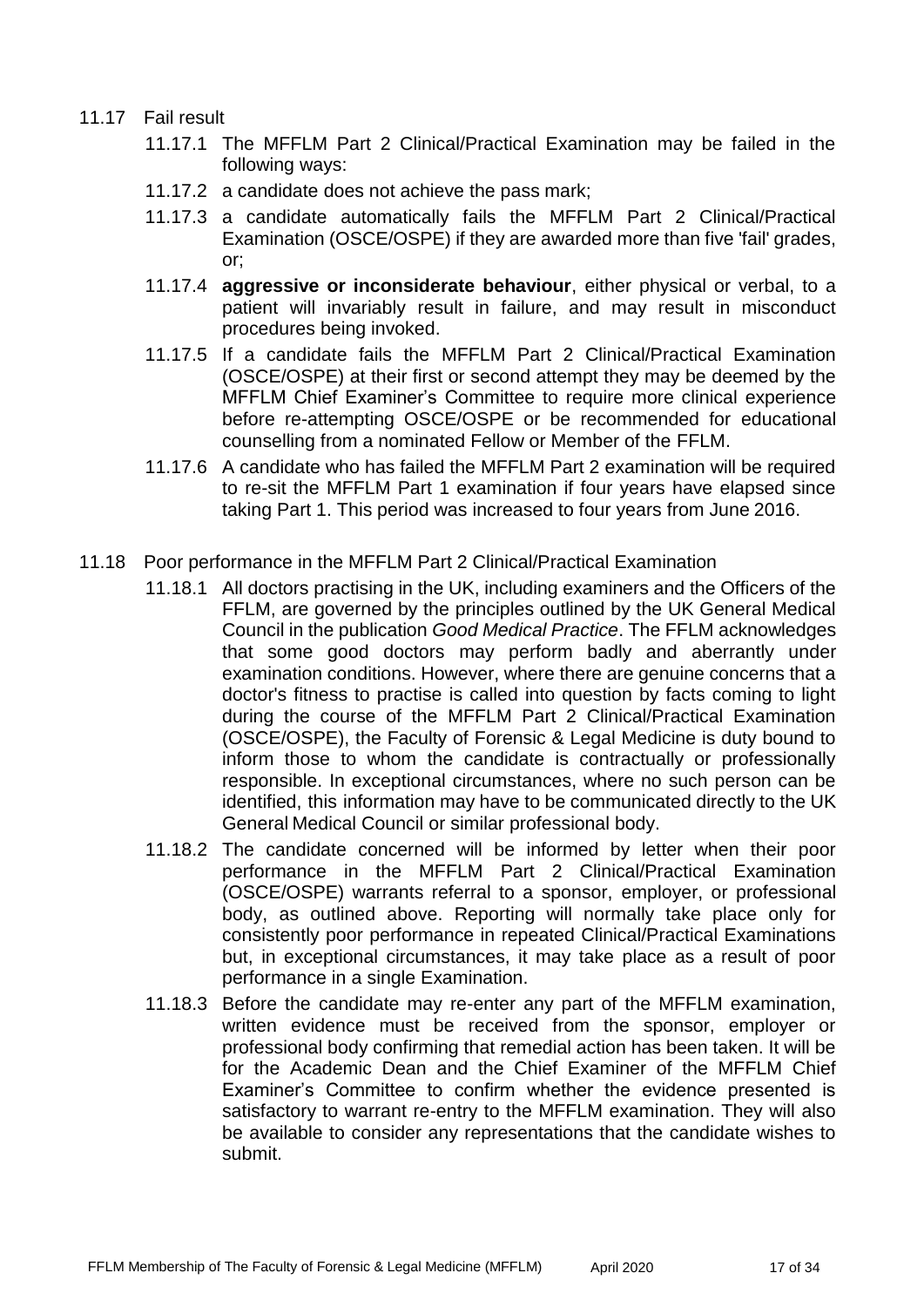#### 11.17 Fail result

- 11.17.1 The MFFLM Part 2 Clinical/Practical Examination may be failed in the following ways:
- 11.17.2 a candidate does not achieve the pass mark;
- 11.17.3 a candidate automatically fails the MFFLM Part 2 Clinical/Practical Examination (OSCE/OSPE) if they are awarded more than five 'fail' grades, or;
- 11.17.4 **aggressive or inconsiderate behaviour**, either physical or verbal, to a patient will invariably result in failure, and may result in misconduct procedures being invoked.
- 11.17.5 If a candidate fails the MFFLM Part 2 Clinical/Practical Examination (OSCE/OSPE) at their first or second attempt they may be deemed by the MFFLM Chief Examiner's Committee to require more clinical experience before re-attempting OSCE/OSPE or be recommended for educational counselling from a nominated Fellow or Member of the FFLM.
- 11.17.6 A candidate who has failed the MFFLM Part 2 examination will be required to re-sit the MFFLM Part 1 examination if four years have elapsed since taking Part 1. This period was increased to four years from June 2016.
- 11.18 Poor performance in the MFFLM Part 2 Clinical/Practical Examination
	- 11.18.1 All doctors practising in the UK, including examiners and the Officers of the FFLM, are governed by the principles outlined by the UK General Medical Council in the publication *Good Medical Practice*. The FFLM acknowledges that some good doctors may perform badly and aberrantly under examination conditions. However, where there are genuine concerns that a doctor's fitness to practise is called into question by facts coming to light during the course of the MFFLM Part 2 Clinical/Practical Examination (OSCE/OSPE), the Faculty of Forensic & Legal Medicine is duty bound to inform those to whom the candidate is contractually or professionally responsible. In exceptional circumstances, where no such person can be identified, this information may have to be communicated directly to the UK General Medical Council or similar professional body.
	- 11.18.2 The candidate concerned will be informed by letter when their poor performance in the MFFLM Part 2 Clinical/Practical Examination (OSCE/OSPE) warrants referral to a sponsor, employer, or professional body, as outlined above. Reporting will normally take place only for consistently poor performance in repeated Clinical/Practical Examinations but, in exceptional circumstances, it may take place as a result of poor performance in a single Examination.
	- 11.18.3 Before the candidate may re-enter any part of the MFFLM examination, written evidence must be received from the sponsor, employer or professional body confirming that remedial action has been taken. It will be for the Academic Dean and the Chief Examiner of the MFFLM Chief Examiner's Committee to confirm whether the evidence presented is satisfactory to warrant re-entry to the MFFLM examination. They will also be available to consider any representations that the candidate wishes to submit.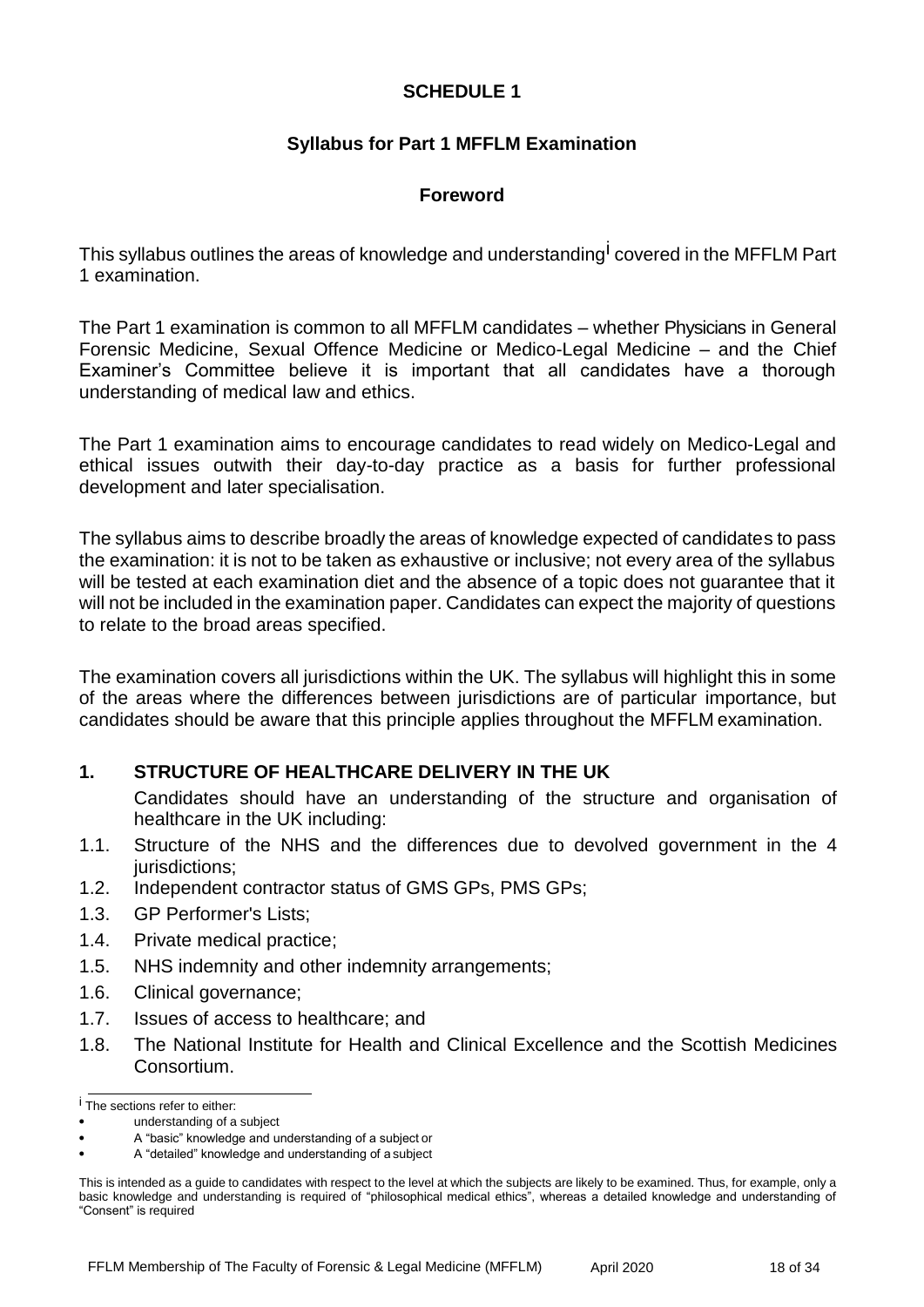## **SCHEDULE 1**

## **Syllabus for Part 1 MFFLM Examination**

## **Foreword**

This syllabus outlines the areas of knowledge and understanding<sup>l</sup> covered in the MFFLM Part 1 examination.

The Part 1 examination is common to all MFFLM candidates – whether Physicians in General Forensic Medicine, Sexual Offence Medicine or Medico-Legal Medicine – and the Chief Examiner's Committee believe it is important that all candidates have a thorough understanding of medical law and ethics.

The Part 1 examination aims to encourage candidates to read widely on Medico-Legal and ethical issues outwith their day-to-day practice as a basis for further professional development and later specialisation.

The syllabus aims to describe broadly the areas of knowledge expected of candidates to pass the examination: it is not to be taken as exhaustive or inclusive; not every area of the syllabus will be tested at each examination diet and the absence of a topic does not guarantee that it will not be included in the examination paper. Candidates can expect the majority of questions to relate to the broad areas specified.

The examination covers all jurisdictions within the UK. The syllabus will highlight this in some of the areas where the differences between jurisdictions are of particular importance, but candidates should be aware that this principle applies throughout the MFFLM examination.

## **1. STRUCTURE OF HEALTHCARE DELIVERY IN THE UK**

Candidates should have an understanding of the structure and organisation of healthcare in the UK including:

- 1.1. Structure of the NHS and the differences due to devolved government in the 4 jurisdictions;
- 1.2. Independent contractor status of GMS GPs, PMS GPs;
- 1.3. GP Performer's Lists;
- 1.4. Private medical practice;
- 1.5. NHS indemnity and other indemnity arrangements;
- 1.6. Clinical governance;
- 1.7. Issues of access to healthcare; and
- 1.8. The National Institute for Health and Clinical Excellence and the Scottish Medicines Consortium.

i The sections refer to either:

understanding of a subject

<sup>•</sup> A "basic" knowledge and understanding of a subject or

<sup>•</sup> A "detailed" knowledge and understanding of a subject

This is intended as a guide to candidates with respect to the level at which the subjects are likely to be examined. Thus, for example, only a basic knowledge and understanding is required of "philosophical medical ethics", whereas a detailed knowledge and understanding of "Consent" is required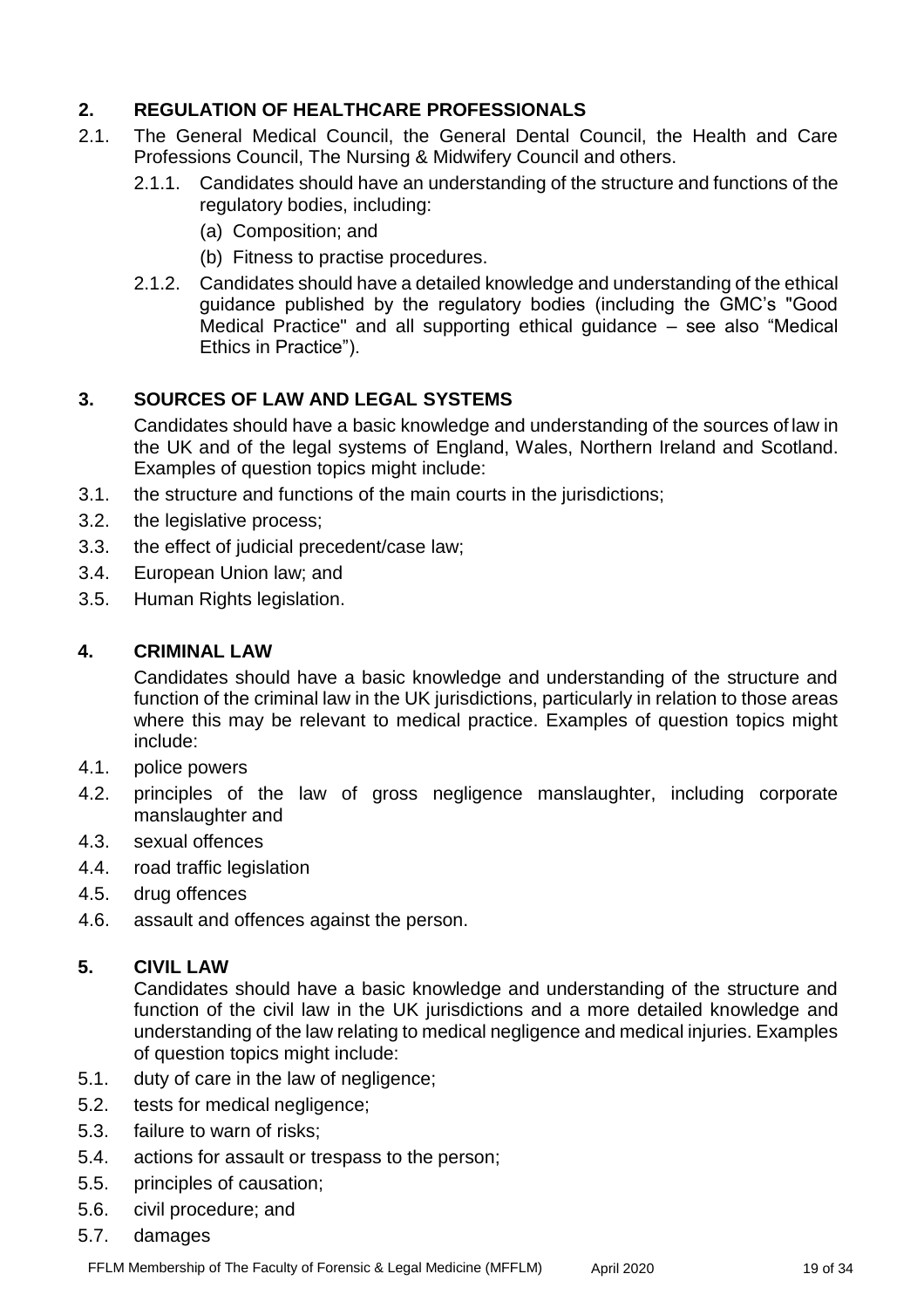# **2. REGULATION OF HEALTHCARE PROFESSIONALS**

- 2.1. The General Medical Council, the General Dental Council, the Health and Care Professions Council, The Nursing & Midwifery Council and others.
	- 2.1.1. Candidates should have an understanding of the structure and functions of the regulatory bodies, including:
		- (a) Composition; and
		- (b) Fitness to practise procedures.
	- 2.1.2. Candidates should have a detailed knowledge and understanding of the ethical guidance published by the regulatory bodies (including the GMC's "Good Medical Practice" and all supporting ethical guidance – see also "Medical Ethics in Practice").

# **3. SOURCES OF LAW AND LEGAL SYSTEMS**

Candidates should have a basic knowledge and understanding of the sources of law in the UK and of the legal systems of England, Wales, Northern Ireland and Scotland. Examples of question topics might include:

- 3.1. the structure and functions of the main courts in the jurisdictions;
- 3.2. the legislative process;
- 3.3. the effect of judicial precedent/case law;
- 3.4. European Union law; and
- 3.5. Human Rights legislation.

## **4. CRIMINAL LAW**

Candidates should have a basic knowledge and understanding of the structure and function of the criminal law in the UK jurisdictions, particularly in relation to those areas where this may be relevant to medical practice. Examples of question topics might include:

- 4.1. police powers
- 4.2. principles of the law of gross negligence manslaughter, including corporate manslaughter and
- 4.3. sexual offences
- 4.4. road traffic legislation
- 4.5. drug offences
- 4.6. assault and offences against the person.

## **5. CIVIL LAW**

Candidates should have a basic knowledge and understanding of the structure and function of the civil law in the UK jurisdictions and a more detailed knowledge and understanding of the law relating to medical negligence and medical injuries. Examples of question topics might include:

- 5.1. duty of care in the law of negligence;
- 5.2. tests for medical negligence;
- 5.3. failure to warn of risks;
- 5.4. actions for assault or trespass to the person;
- 5.5. principles of causation;
- 5.6. civil procedure; and
- 5.7. damages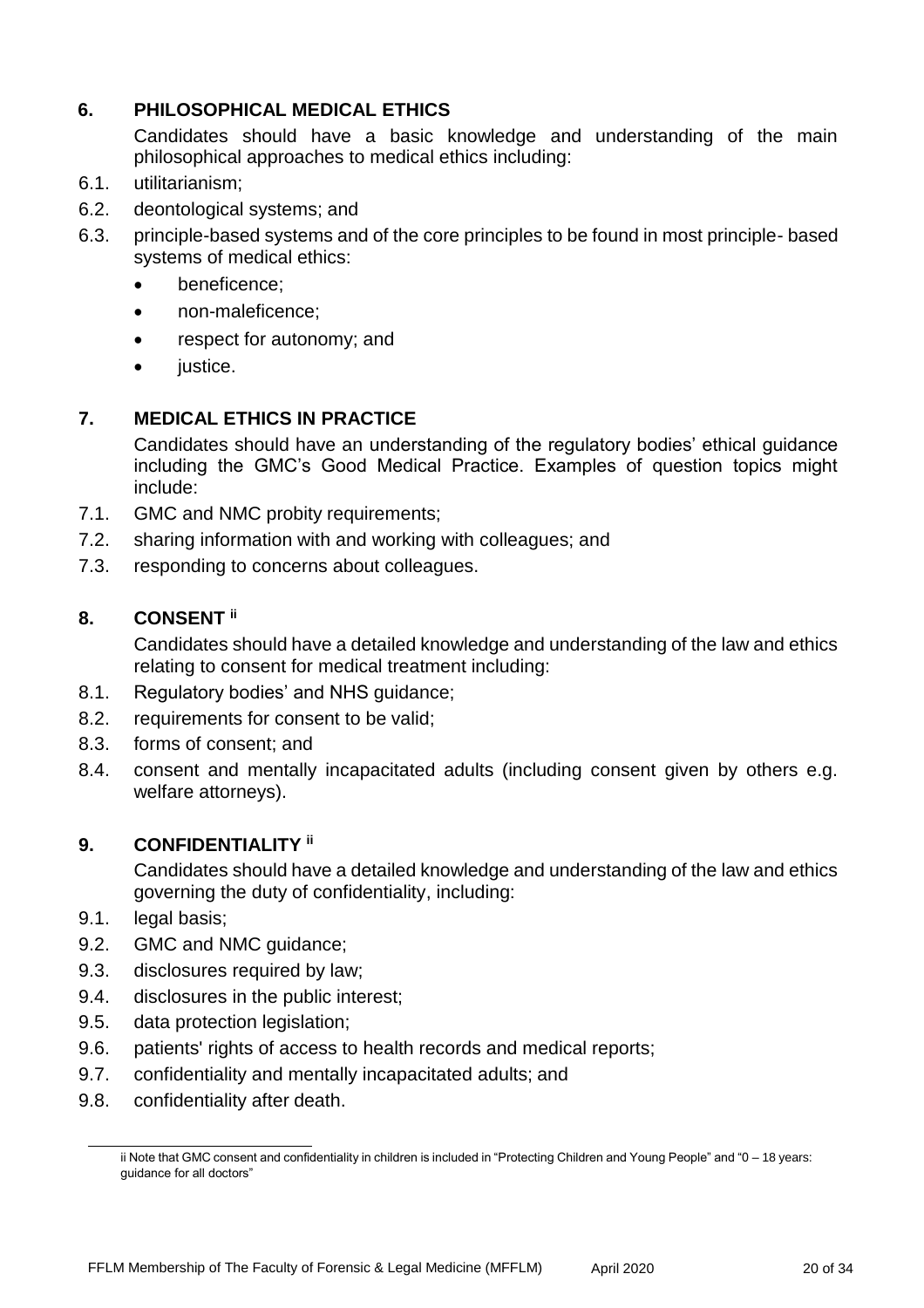# **6. PHILOSOPHICAL MEDICAL ETHICS**

Candidates should have a basic knowledge and understanding of the main philosophical approaches to medical ethics including:

- 6.1. utilitarianism;
- 6.2. deontological systems; and
- 6.3. principle-based systems and of the core principles to be found in most principle- based systems of medical ethics:
	- **•** beneficence;
	- non-maleficence;
	- respect for autonomy; and
	- iustice.

## **7. MEDICAL ETHICS IN PRACTICE**

Candidates should have an understanding of the regulatory bodies' ethical guidance including the GMC's Good Medical Practice. Examples of question topics might include:

- 7.1. GMC and NMC probity requirements;
- 7.2. sharing information with and working with colleagues; and
- 7.3. responding to concerns about colleagues.

## **8. CONSENT ii**

Candidates should have a detailed knowledge and understanding of the law and ethics relating to consent for medical treatment including:

- 8.1. Regulatory bodies' and NHS guidance;
- 8.2. requirements for consent to be valid;
- 8.3. forms of consent; and
- 8.4. consent and mentally incapacitated adults (including consent given by others e.g. welfare attorneys).

## **9. CONFIDENTIALITY ii**

Candidates should have a detailed knowledge and understanding of the law and ethics governing the duty of confidentiality, including:

- 9.1. legal basis;
- 9.2. GMC and NMC guidance;
- 9.3. disclosures required by law;
- 9.4. disclosures in the public interest;
- 9.5. data protection legislation;
- 9.6. patients' rights of access to health records and medical reports;
- 9.7. confidentiality and mentally incapacitated adults; and
- 9.8. confidentiality after death.

ii Note that GMC consent and confidentiality in children is included in "Protecting Children and Young People" and "0 – 18 years: guidance for all doctors"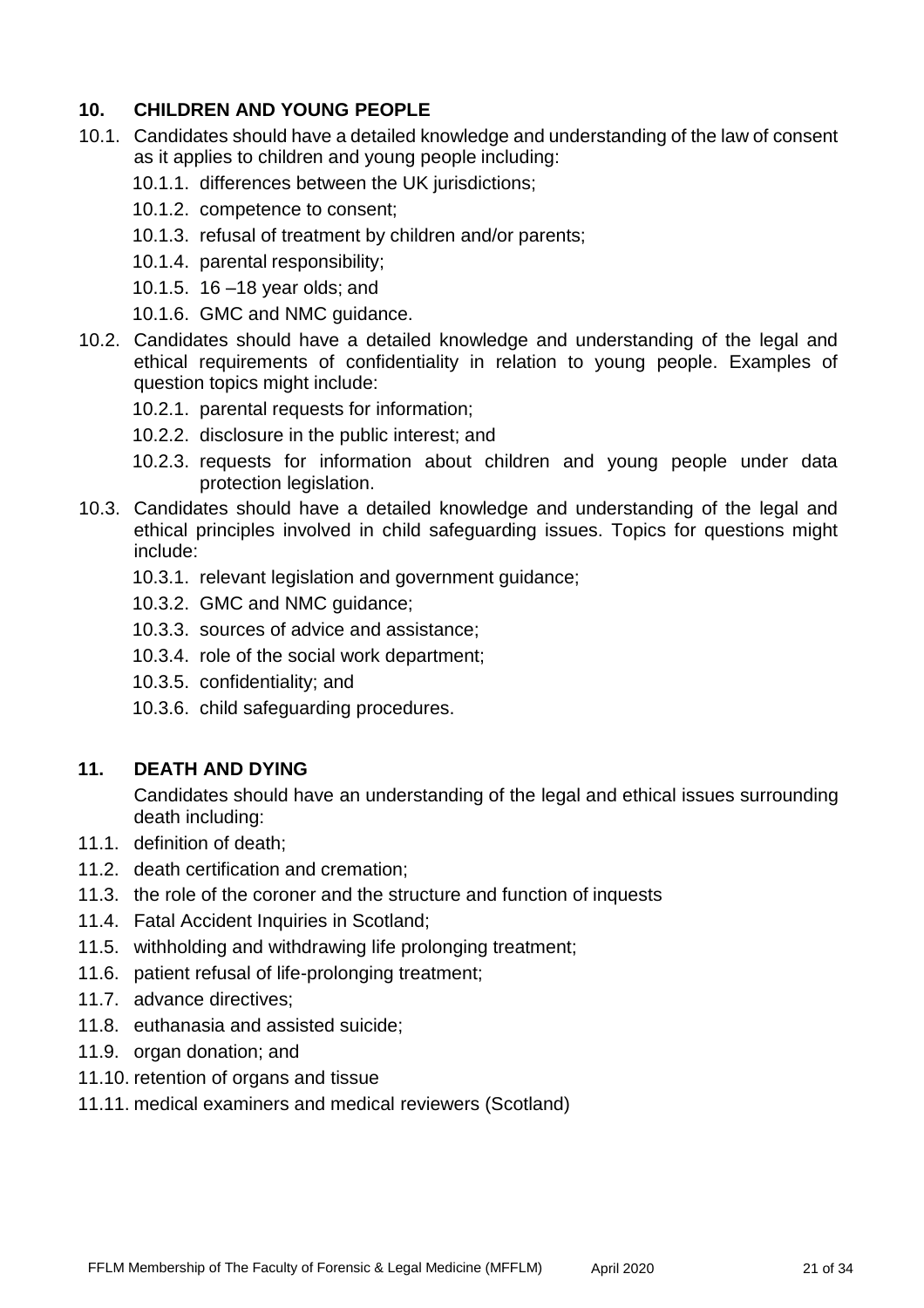# **10. CHILDREN AND YOUNG PEOPLE**

- 10.1. Candidates should have a detailed knowledge and understanding of the law of consent as it applies to children and young people including:
	- 10.1.1. differences between the UK jurisdictions;
	- 10.1.2. competence to consent;
	- 10.1.3. refusal of treatment by children and/or parents;
	- 10.1.4. parental responsibility;
	- 10.1.5. 16 –18 year olds; and
	- 10.1.6. GMC and NMC guidance.
- 10.2. Candidates should have a detailed knowledge and understanding of the legal and ethical requirements of confidentiality in relation to young people. Examples of question topics might include:
	- 10.2.1. parental requests for information;
	- 10.2.2. disclosure in the public interest; and
	- 10.2.3. requests for information about children and young people under data protection legislation.
- 10.3. Candidates should have a detailed knowledge and understanding of the legal and ethical principles involved in child safeguarding issues. Topics for questions might include:
	- 10.3.1. relevant legislation and government guidance;
	- 10.3.2. GMC and NMC guidance;
	- 10.3.3. sources of advice and assistance;
	- 10.3.4. role of the social work department;
	- 10.3.5. confidentiality; and
	- 10.3.6. child safeguarding procedures.

#### **11. DEATH AND DYING**

Candidates should have an understanding of the legal and ethical issues surrounding death including:

- 11.1. definition of death;
- 11.2. death certification and cremation;
- 11.3. the role of the coroner and the structure and function of inquests
- 11.4. Fatal Accident Inquiries in Scotland;
- 11.5. withholding and withdrawing life prolonging treatment;
- 11.6. patient refusal of life-prolonging treatment;
- 11.7. advance directives;
- 11.8. euthanasia and assisted suicide;
- 11.9. organ donation; and
- 11.10. retention of organs and tissue
- 11.11. medical examiners and medical reviewers (Scotland)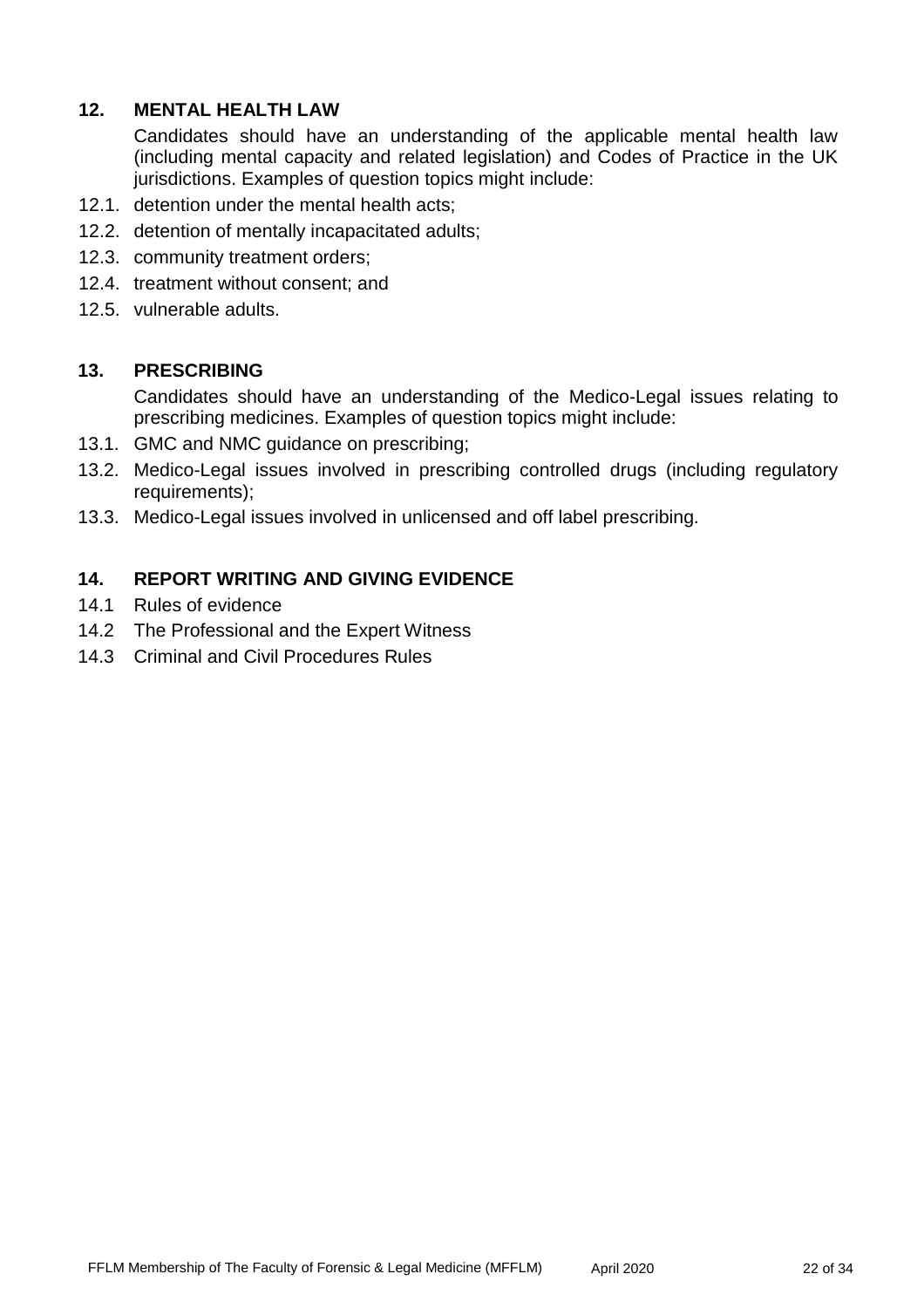## **12. MENTAL HEALTH LAW**

Candidates should have an understanding of the applicable mental health law (including mental capacity and related legislation) and Codes of Practice in the UK jurisdictions. Examples of question topics might include:

- 12.1. detention under the mental health acts;
- 12.2. detention of mentally incapacitated adults;
- 12.3. community treatment orders;
- 12.4. treatment without consent; and
- 12.5. vulnerable adults.

#### **13. PRESCRIBING**

Candidates should have an understanding of the Medico-Legal issues relating to prescribing medicines. Examples of question topics might include:

- 13.1. GMC and NMC guidance on prescribing;
- 13.2. Medico-Legal issues involved in prescribing controlled drugs (including regulatory requirements);
- 13.3. Medico-Legal issues involved in unlicensed and off label prescribing.

#### **14. REPORT WRITING AND GIVING EVIDENCE**

- 14.1 Rules of evidence
- 14.2 The Professional and the Expert Witness
- 14.3 Criminal and Civil Procedures Rules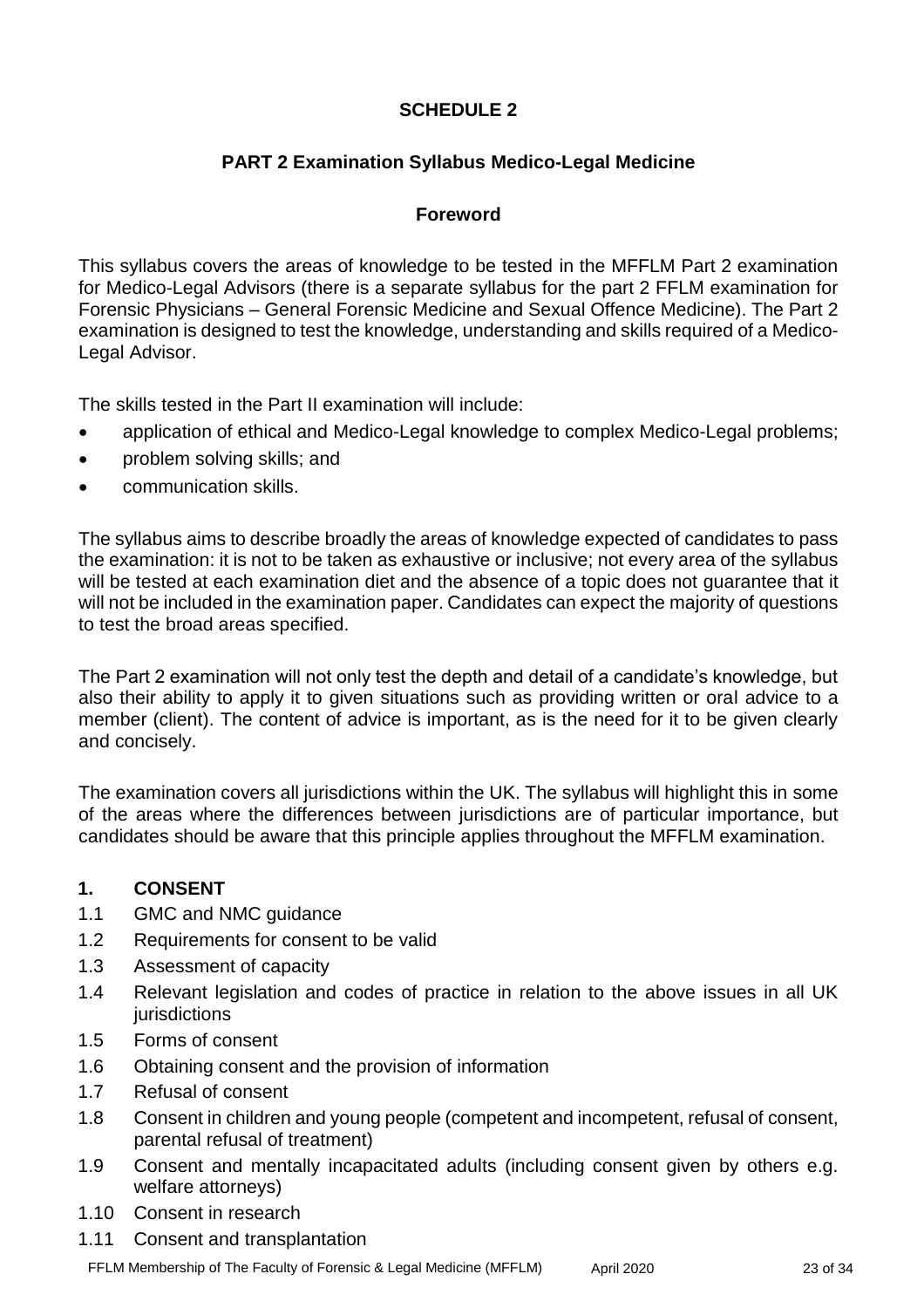# **SCHEDULE 2**

# **PART 2 Examination Syllabus Medico-Legal Medicine**

## **Foreword**

This syllabus covers the areas of knowledge to be tested in the MFFLM Part 2 examination for Medico-Legal Advisors (there is a separate syllabus for the part 2 FFLM examination for Forensic Physicians – General Forensic Medicine and Sexual Offence Medicine). The Part 2 examination is designed to test the knowledge, understanding and skills required of a Medico-Legal Advisor.

The skills tested in the Part II examination will include:

- application of ethical and Medico-Legal knowledge to complex Medico-Legal problems;
- problem solving skills; and
- communication skills.

The syllabus aims to describe broadly the areas of knowledge expected of candidates to pass the examination: it is not to be taken as exhaustive or inclusive; not every area of the syllabus will be tested at each examination diet and the absence of a topic does not guarantee that it will not be included in the examination paper. Candidates can expect the majority of questions to test the broad areas specified.

The Part 2 examination will not only test the depth and detail of a candidate's knowledge, but also their ability to apply it to given situations such as providing written or oral advice to a member (client). The content of advice is important, as is the need for it to be given clearly and concisely.

The examination covers all jurisdictions within the UK. The syllabus will highlight this in some of the areas where the differences between jurisdictions are of particular importance, but candidates should be aware that this principle applies throughout the MFFLM examination.

## **1. CONSENT**

- 1.1 GMC and NMC guidance
- 1.2 Requirements for consent to be valid
- 1.3 Assessment of capacity
- 1.4 Relevant legislation and codes of practice in relation to the above issues in all UK jurisdictions
- 1.5 Forms of consent
- 1.6 Obtaining consent and the provision of information
- 1.7 Refusal of consent
- 1.8 Consent in children and young people (competent and incompetent, refusal of consent, parental refusal of treatment)
- 1.9 Consent and mentally incapacitated adults (including consent given by others e.g. welfare attorneys)
- 1.10 Consent in research
- 1.11 Consent and transplantation

FFLM Membership of The Faculty of Forensic & Legal Medicine (MFFLM) April 2020 20 23 of 34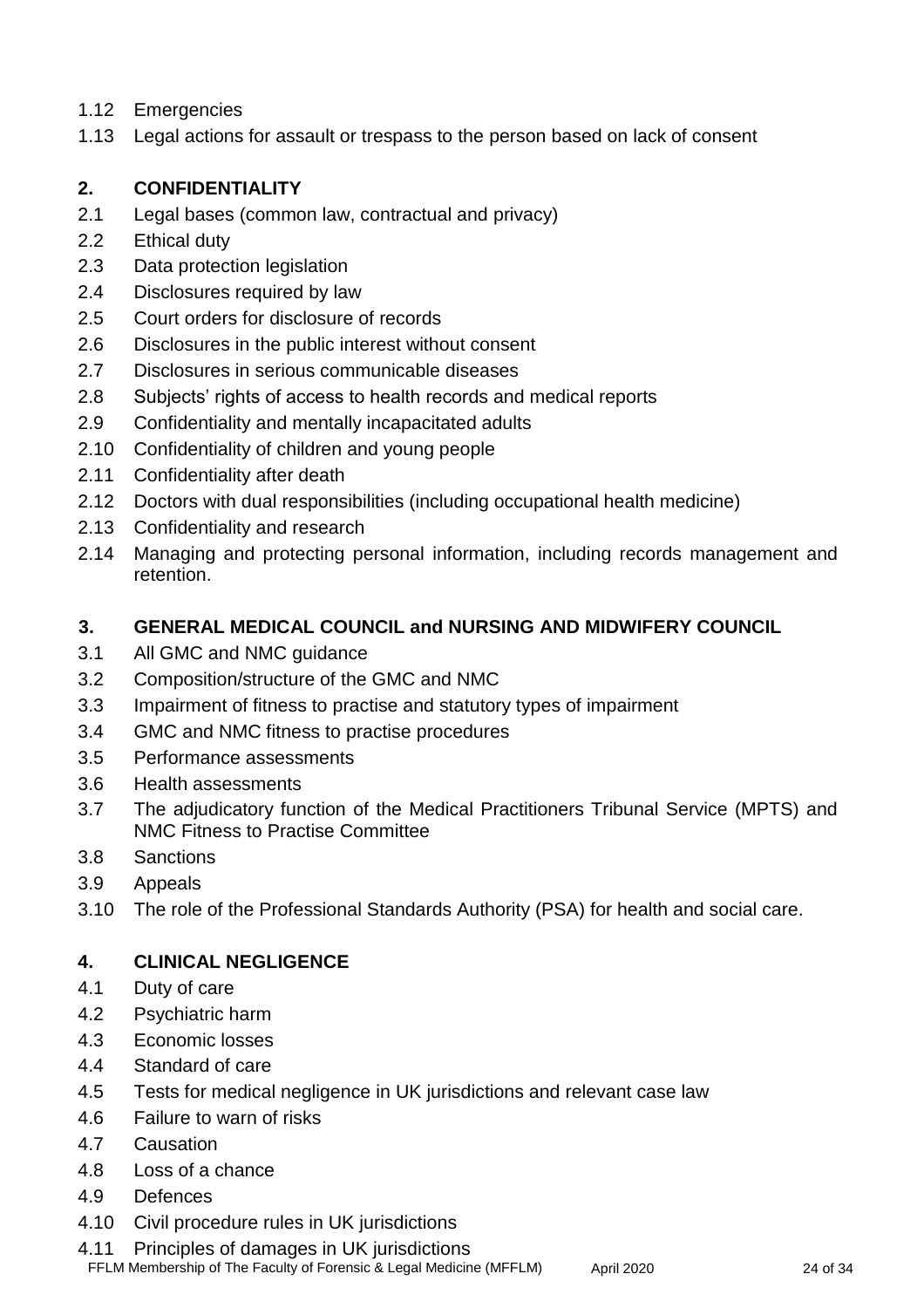- 1.12 Emergencies
- 1.13 Legal actions for assault or trespass to the person based on lack of consent

# **2. CONFIDENTIALITY**

- 2.1 Legal bases (common law, contractual and privacy)
- 2.2 Ethical duty
- 2.3 Data protection legislation
- 2.4 Disclosures required by law
- 2.5 Court orders for disclosure of records
- 2.6 Disclosures in the public interest without consent
- 2.7 Disclosures in serious communicable diseases
- 2.8 Subjects' rights of access to health records and medical reports
- 2.9 Confidentiality and mentally incapacitated adults
- 2.10 Confidentiality of children and young people
- 2.11 Confidentiality after death
- 2.12 Doctors with dual responsibilities (including occupational health medicine)
- 2.13 Confidentiality and research
- 2.14 Managing and protecting personal information, including records management and retention.

## **3. GENERAL MEDICAL COUNCIL and NURSING AND MIDWIFERY COUNCIL**

- 3.1 All GMC and NMC guidance
- 3.2 Composition/structure of the GMC and NMC
- 3.3 Impairment of fitness to practise and statutory types of impairment
- 3.4 GMC and NMC fitness to practise procedures
- 3.5 Performance assessments
- 3.6 Health assessments
- 3.7 The adjudicatory function of the Medical Practitioners Tribunal Service (MPTS) and NMC Fitness to Practise Committee
- 3.8 Sanctions
- 3.9 Appeals
- 3.10 The role of the Professional Standards Authority (PSA) for health and social care.

## **4. CLINICAL NEGLIGENCE**

- 4.1 Duty of care
- 4.2 Psychiatric harm
- 4.3 Economic losses
- 4.4 Standard of care
- 4.5 Tests for medical negligence in UK jurisdictions and relevant case law
- 4.6 Failure to warn of risks
- 4.7 Causation
- 4.8 Loss of a chance
- 4.9 Defences
- 4.10 Civil procedure rules in UK jurisdictions

4.11 Principles of damages in UK jurisdictions

FFLM Membership of The Faculty of Forensic & Legal Medicine (MFFLM) April 2020 20 24 of 34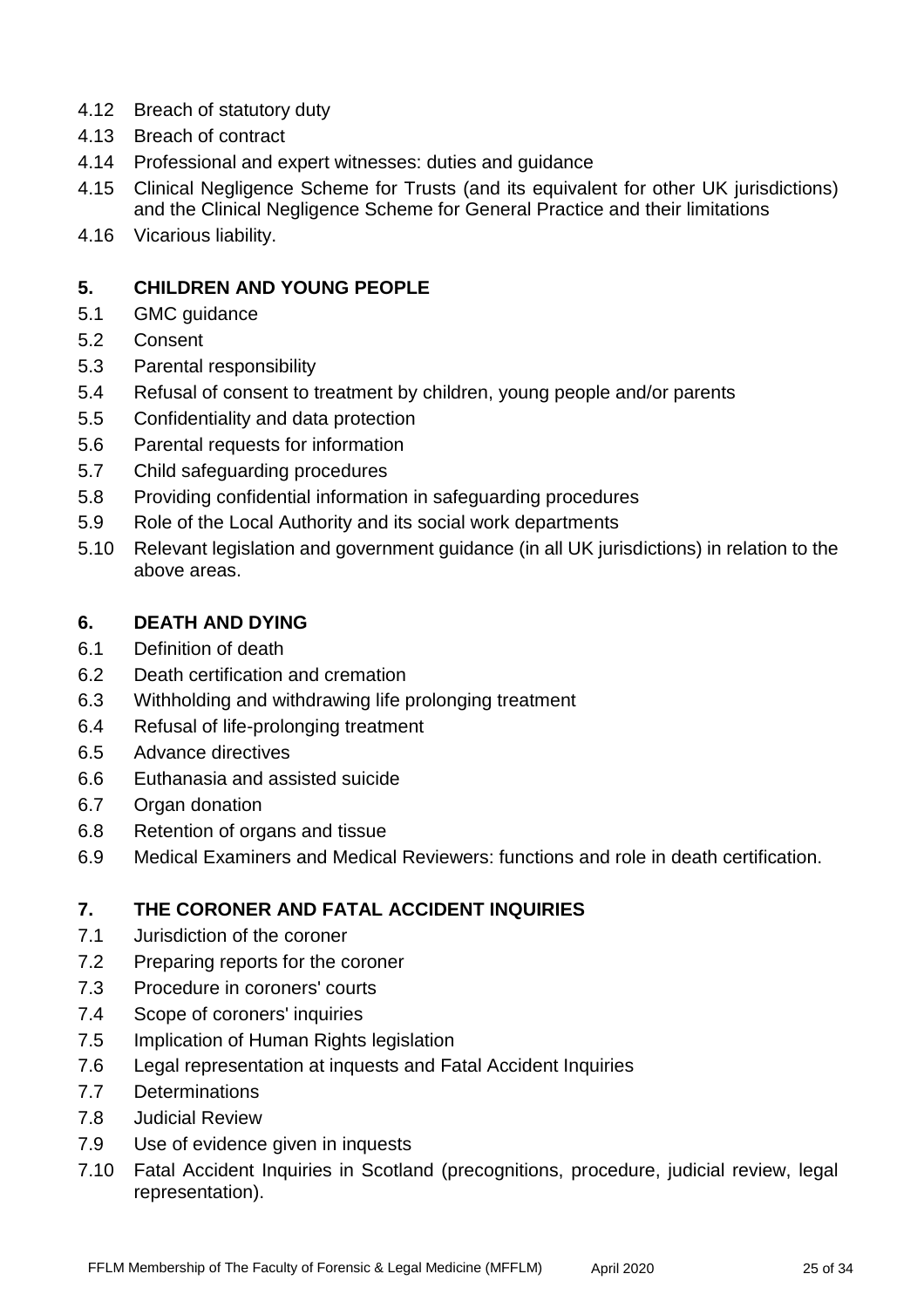- 4.12 Breach of statutory duty
- 4.13 Breach of contract
- 4.14 Professional and expert witnesses: duties and guidance
- 4.15 Clinical Negligence Scheme for Trusts (and its equivalent for other UK jurisdictions) and the Clinical Negligence Scheme for General Practice and their limitations
- 4.16 Vicarious liability.

## **5. CHILDREN AND YOUNG PEOPLE**

- 5.1 GMC guidance
- 5.2 Consent
- 5.3 Parental responsibility
- 5.4 Refusal of consent to treatment by children, young people and/or parents
- 5.5 Confidentiality and data protection
- 5.6 Parental requests for information
- 5.7 Child safeguarding procedures
- 5.8 Providing confidential information in safeguarding procedures
- 5.9 Role of the Local Authority and its social work departments
- 5.10 Relevant legislation and government guidance (in all UK jurisdictions) in relation to the above areas.

## **6. DEATH AND DYING**

- 6.1 Definition of death
- 6.2 Death certification and cremation
- 6.3 Withholding and withdrawing life prolonging treatment
- 6.4 Refusal of life-prolonging treatment
- 6.5 Advance directives
- 6.6 Euthanasia and assisted suicide
- 6.7 Organ donation
- 6.8 Retention of organs and tissue
- 6.9 Medical Examiners and Medical Reviewers: functions and role in death certification.

## **7. THE CORONER AND FATAL ACCIDENT INQUIRIES**

- 7.1 Jurisdiction of the coroner
- 7.2 Preparing reports for the coroner
- 7.3 Procedure in coroners' courts
- 7.4 Scope of coroners' inquiries
- 7.5 Implication of Human Rights legislation
- 7.6 Legal representation at inquests and Fatal Accident Inquiries
- 7.7 Determinations
- 7.8 Judicial Review
- 7.9 Use of evidence given in inquests
- 7.10 Fatal Accident Inquiries in Scotland (precognitions, procedure, judicial review, legal representation).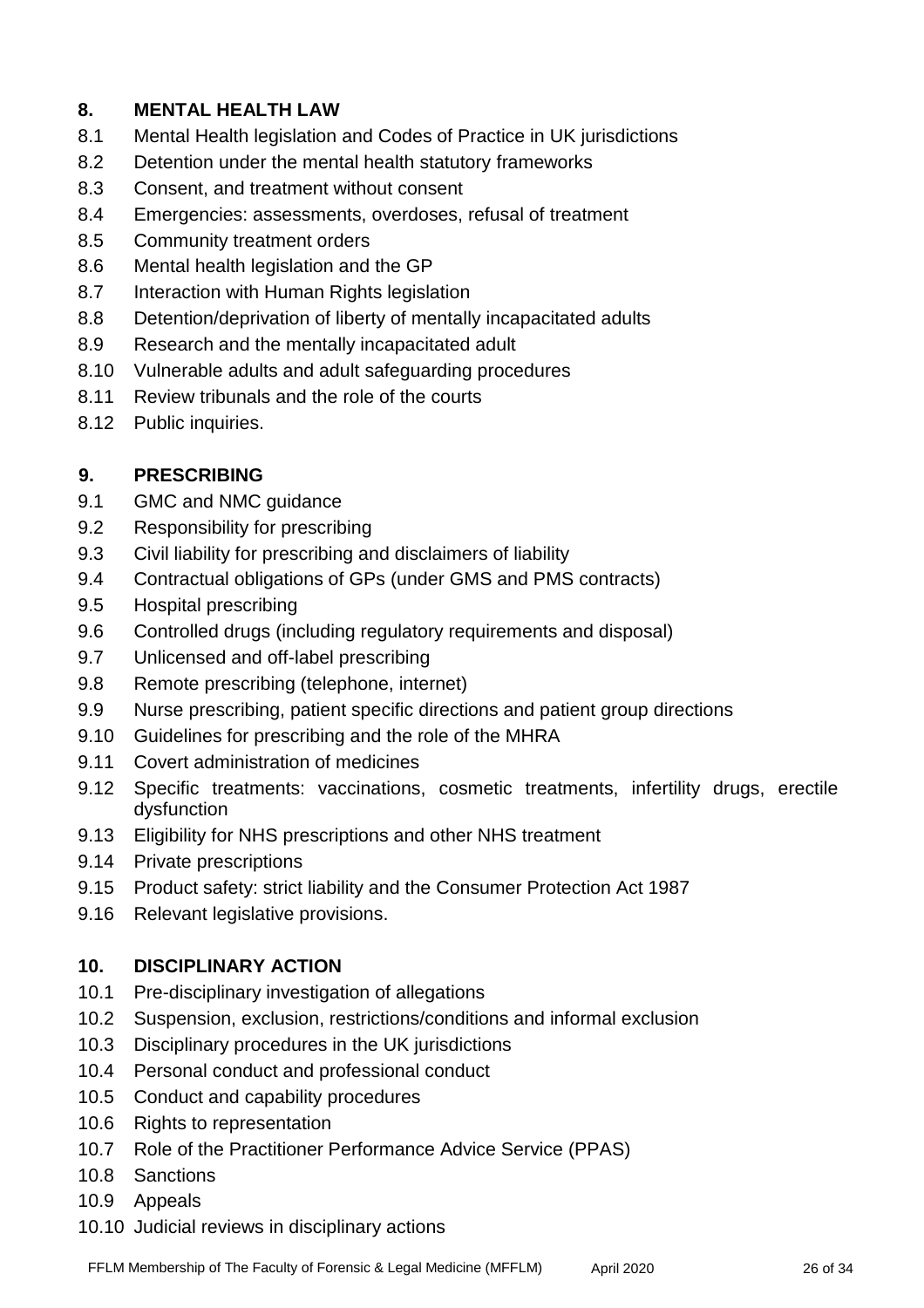# **8. MENTAL HEALTH LAW**

- 8.1 Mental Health legislation and Codes of Practice in UK jurisdictions
- 8.2 Detention under the mental health statutory frameworks
- 8.3 Consent, and treatment without consent
- 8.4 Emergencies: assessments, overdoses, refusal of treatment
- 8.5 Community treatment orders
- 8.6 Mental health legislation and the GP
- 8.7 Interaction with Human Rights legislation
- 8.8 Detention/deprivation of liberty of mentally incapacitated adults
- 8.9 Research and the mentally incapacitated adult
- 8.10 Vulnerable adults and adult safeguarding procedures
- 8.11 Review tribunals and the role of the courts
- 8.12 Public inquiries.

## **9. PRESCRIBING**

- 9.1 GMC and NMC guidance
- 9.2 Responsibility for prescribing
- 9.3 Civil liability for prescribing and disclaimers of liability
- 9.4 Contractual obligations of GPs (under GMS and PMS contracts)
- 9.5 Hospital prescribing
- 9.6 Controlled drugs (including regulatory requirements and disposal)
- 9.7 Unlicensed and off-label prescribing
- 9.8 Remote prescribing (telephone, internet)
- 9.9 Nurse prescribing, patient specific directions and patient group directions
- 9.10 Guidelines for prescribing and the role of the MHRA
- 9.11 Covert administration of medicines
- 9.12 Specific treatments: vaccinations, cosmetic treatments, infertility drugs, erectile dysfunction
- 9.13 Eligibility for NHS prescriptions and other NHS treatment
- 9.14 Private prescriptions
- 9.15 Product safety: strict liability and the Consumer Protection Act 1987
- 9.16 Relevant legislative provisions.

#### **10. DISCIPLINARY ACTION**

- 10.1 Pre-disciplinary investigation of allegations
- 10.2 Suspension, exclusion, restrictions/conditions and informal exclusion
- 10.3 Disciplinary procedures in the UK jurisdictions
- 10.4 Personal conduct and professional conduct
- 10.5 Conduct and capability procedures
- 10.6 Rights to representation
- 10.7 Role of the Practitioner Performance Advice Service (PPAS)
- 10.8 Sanctions
- 10.9 Appeals
- 10.10 Judicial reviews in disciplinary actions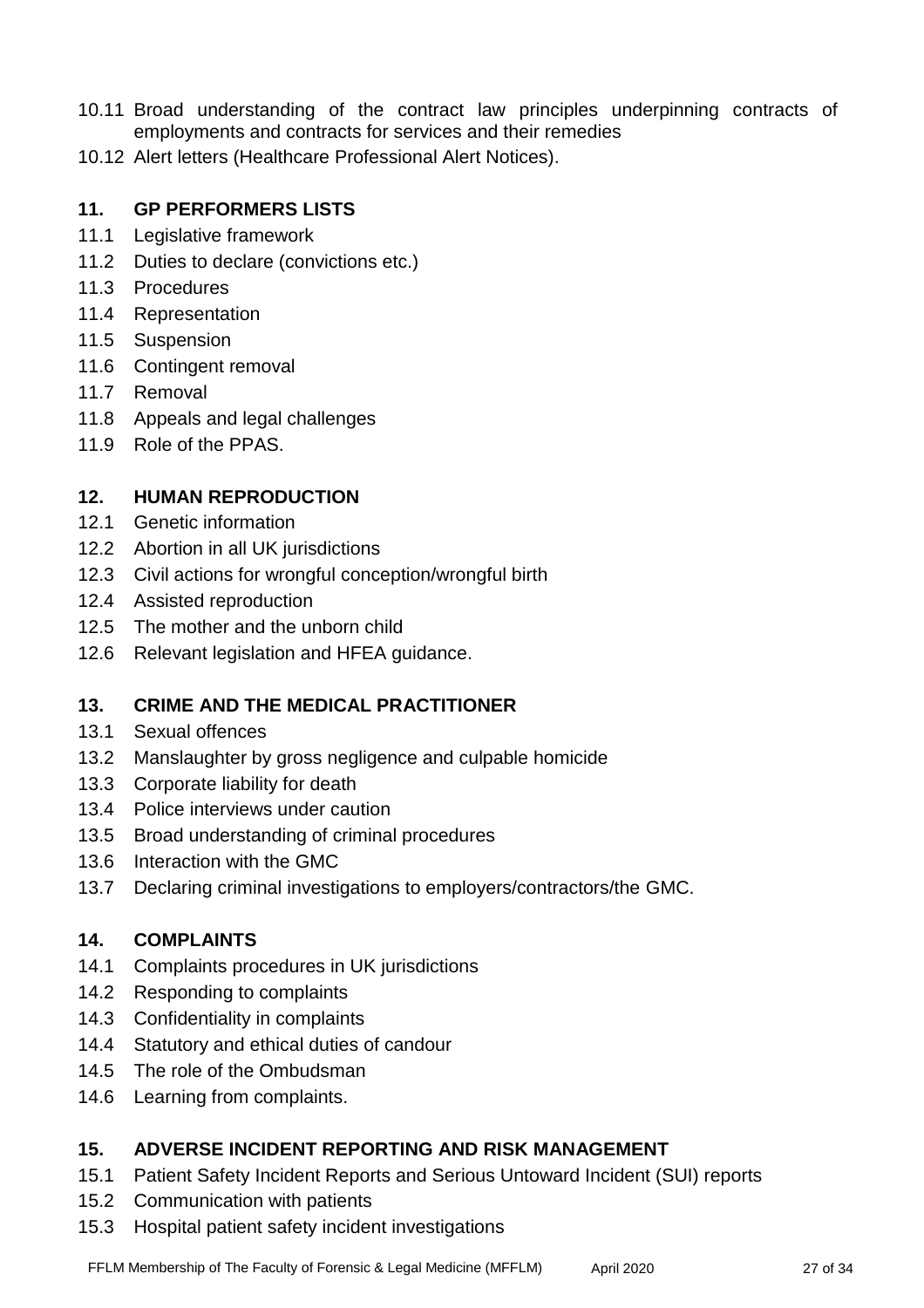- 10.11 Broad understanding of the contract law principles underpinning contracts of employments and contracts for services and their remedies
- 10.12 Alert letters (Healthcare Professional Alert Notices).

## **11. GP PERFORMERS LISTS**

- 11.1 Legislative framework
- 11.2 Duties to declare (convictions etc.)
- 11.3 Procedures
- 11.4 Representation
- 11.5 Suspension
- 11.6 Contingent removal
- 11.7 Removal
- 11.8 Appeals and legal challenges
- 11.9 Role of the PPAS.

## **12. HUMAN REPRODUCTION**

- 12.1 Genetic information
- 12.2 Abortion in all UK jurisdictions
- 12.3 Civil actions for wrongful conception/wrongful birth
- 12.4 Assisted reproduction
- 12.5 The mother and the unborn child
- 12.6 Relevant legislation and HFEA guidance.

# **13. CRIME AND THE MEDICAL PRACTITIONER**

- 13.1 Sexual offences
- 13.2 Manslaughter by gross negligence and culpable homicide
- 13.3 Corporate liability for death
- 13.4 Police interviews under caution
- 13.5 Broad understanding of criminal procedures
- 13.6 Interaction with the GMC
- 13.7 Declaring criminal investigations to employers/contractors/the GMC.

#### **14. COMPLAINTS**

- 14.1 Complaints procedures in UK jurisdictions
- 14.2 Responding to complaints
- 14.3 Confidentiality in complaints
- 14.4 Statutory and ethical duties of candour
- 14.5 The role of the Ombudsman
- 14.6 Learning from complaints.

## **15. ADVERSE INCIDENT REPORTING AND RISK MANAGEMENT**

- 15.1 Patient Safety Incident Reports and Serious Untoward Incident (SUI) reports
- 15.2 Communication with patients
- 15.3 Hospital patient safety incident investigations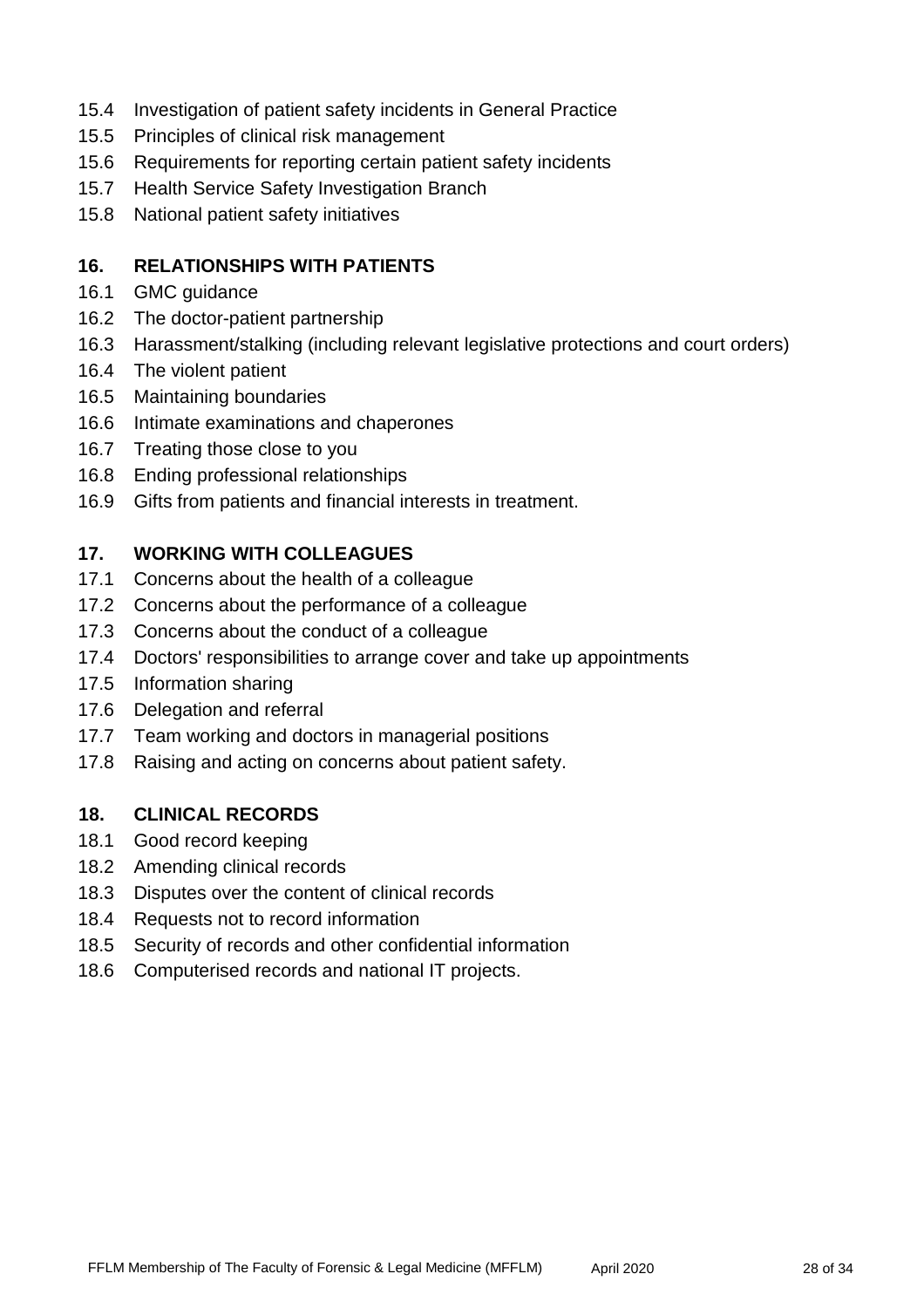- 15.4 Investigation of patient safety incidents in General Practice
- 15.5 Principles of clinical risk management
- 15.6 Requirements for reporting certain patient safety incidents
- 15.7 Health Service Safety Investigation Branch
- 15.8 National patient safety initiatives

# **16. RELATIONSHIPS WITH PATIENTS**

- 16.1 GMC guidance
- 16.2 The doctor-patient partnership
- 16.3 Harassment/stalking (including relevant legislative protections and court orders)
- 16.4 The violent patient
- 16.5 Maintaining boundaries
- 16.6 Intimate examinations and chaperones
- 16.7 Treating those close to you
- 16.8 Ending professional relationships
- 16.9 Gifts from patients and financial interests in treatment.

## **17. WORKING WITH COLLEAGUES**

- 17.1 Concerns about the health of a colleague
- 17.2 Concerns about the performance of a colleague
- 17.3 Concerns about the conduct of a colleague
- 17.4 Doctors' responsibilities to arrange cover and take up appointments
- 17.5 Information sharing
- 17.6 Delegation and referral
- 17.7 Team working and doctors in managerial positions
- 17.8 Raising and acting on concerns about patient safety.

## **18. CLINICAL RECORDS**

- 18.1 Good record keeping
- 18.2 Amending clinical records
- 18.3 Disputes over the content of clinical records
- 18.4 Requests not to record information
- 18.5 Security of records and other confidential information
- 18.6 Computerised records and national IT projects.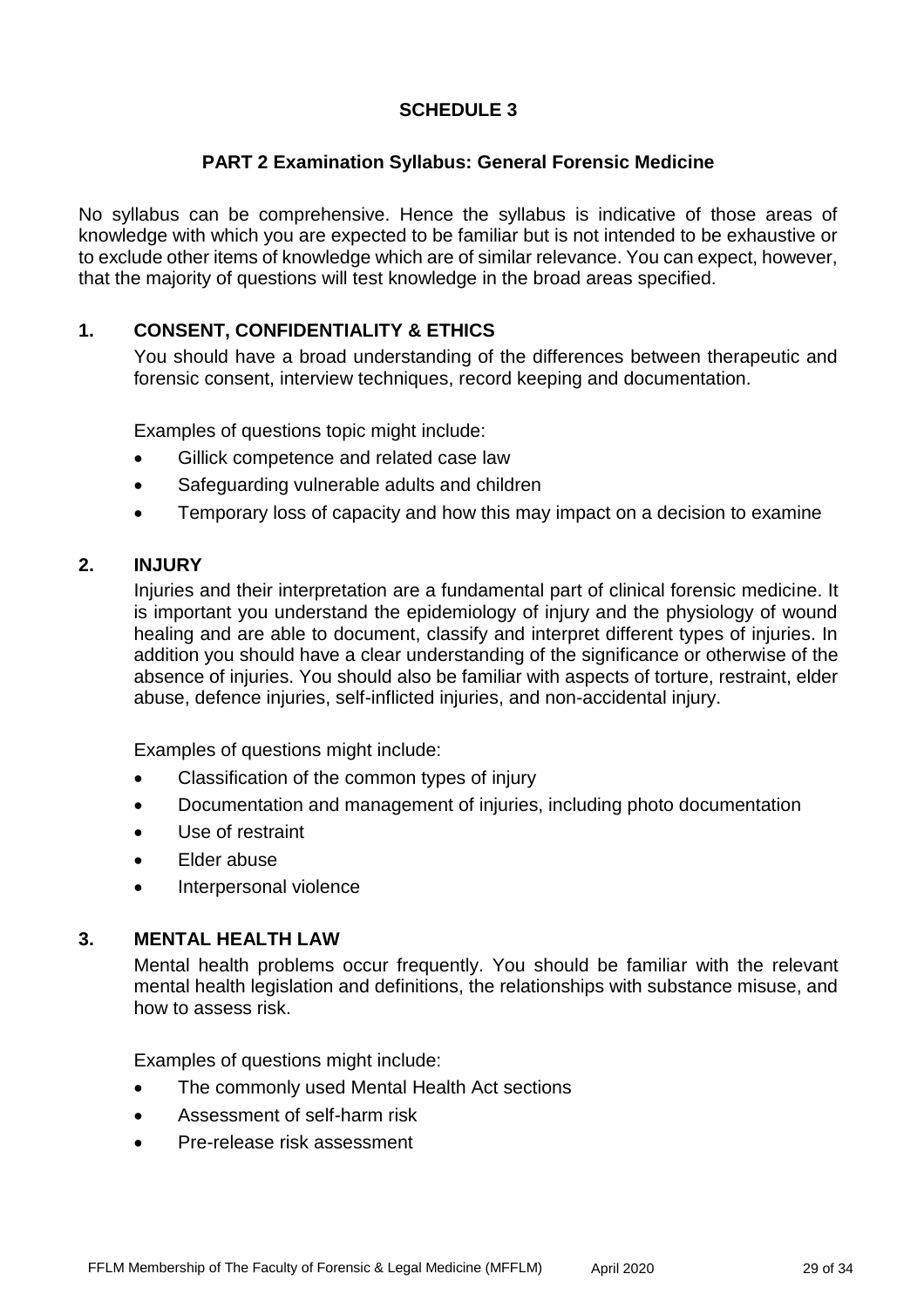## **SCHEDULE 3**

#### **PART 2 Examination Syllabus: General Forensic Medicine**

No syllabus can be comprehensive. Hence the syllabus is indicative of those areas of knowledge with which you are expected to be familiar but is not intended to be exhaustive or to exclude other items of knowledge which are of similar relevance. You can expect, however, that the majority of questions will test knowledge in the broad areas specified.

#### **1. CONSENT, CONFIDENTIALITY & ETHICS**

You should have a broad understanding of the differences between therapeutic and forensic consent, interview techniques, record keeping and documentation.

Examples of questions topic might include:

- Gillick competence and related case law
- Safeguarding vulnerable adults and children
- Temporary loss of capacity and how this may impact on a decision to examine

#### **2. INJURY**

Injuries and their interpretation are a fundamental part of clinical forensic medicine. It is important you understand the epidemiology of injury and the physiology of wound healing and are able to document, classify and interpret different types of injuries. In addition you should have a clear understanding of the significance or otherwise of the absence of injuries. You should also be familiar with aspects of torture, restraint, elder abuse, defence injuries, self-inflicted injuries, and non-accidental injury.

Examples of questions might include:

- Classification of the common types of injury
- Documentation and management of injuries, including photo documentation
- Use of restraint
- Elder abuse
- Interpersonal violence

#### **3. MENTAL HEALTH LAW**

Mental health problems occur frequently. You should be familiar with the relevant mental health legislation and definitions, the relationships with substance misuse, and how to assess risk.

- The commonly used Mental Health Act sections
- Assessment of self-harm risk
- Pre-release risk assessment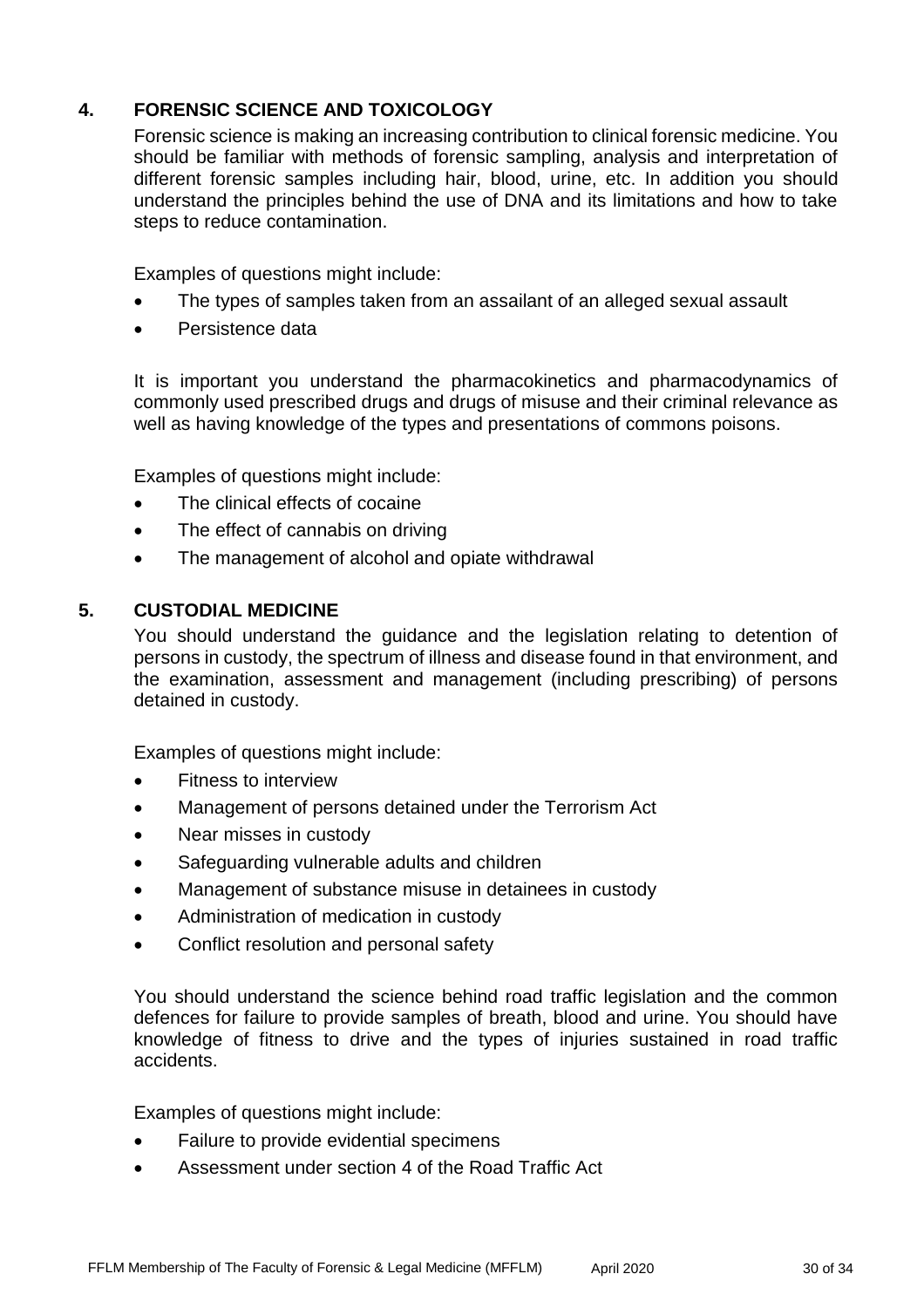# **4. FORENSIC SCIENCE AND TOXICOLOGY**

Forensic science is making an increasing contribution to clinical forensic medicine. You should be familiar with methods of forensic sampling, analysis and interpretation of different forensic samples including hair, blood, urine, etc. In addition you should understand the principles behind the use of DNA and its limitations and how to take steps to reduce contamination.

Examples of questions might include:

- The types of samples taken from an assailant of an alleged sexual assault
- Persistence data

It is important you understand the pharmacokinetics and pharmacodynamics of commonly used prescribed drugs and drugs of misuse and their criminal relevance as well as having knowledge of the types and presentations of commons poisons.

Examples of questions might include:

- The clinical effects of cocaine
- The effect of cannabis on driving
- The management of alcohol and opiate withdrawal

## **5. CUSTODIAL MEDICINE**

You should understand the guidance and the legislation relating to detention of persons in custody, the spectrum of illness and disease found in that environment, and the examination, assessment and management (including prescribing) of persons detained in custody.

Examples of questions might include:

- Fitness to interview
- Management of persons detained under the Terrorism Act
- Near misses in custody
- Safeguarding vulnerable adults and children
- Management of substance misuse in detainees in custody
- Administration of medication in custody
- Conflict resolution and personal safety

You should understand the science behind road traffic legislation and the common defences for failure to provide samples of breath, blood and urine. You should have knowledge of fitness to drive and the types of injuries sustained in road traffic accidents.

- Failure to provide evidential specimens
- Assessment under section 4 of the Road Traffic Act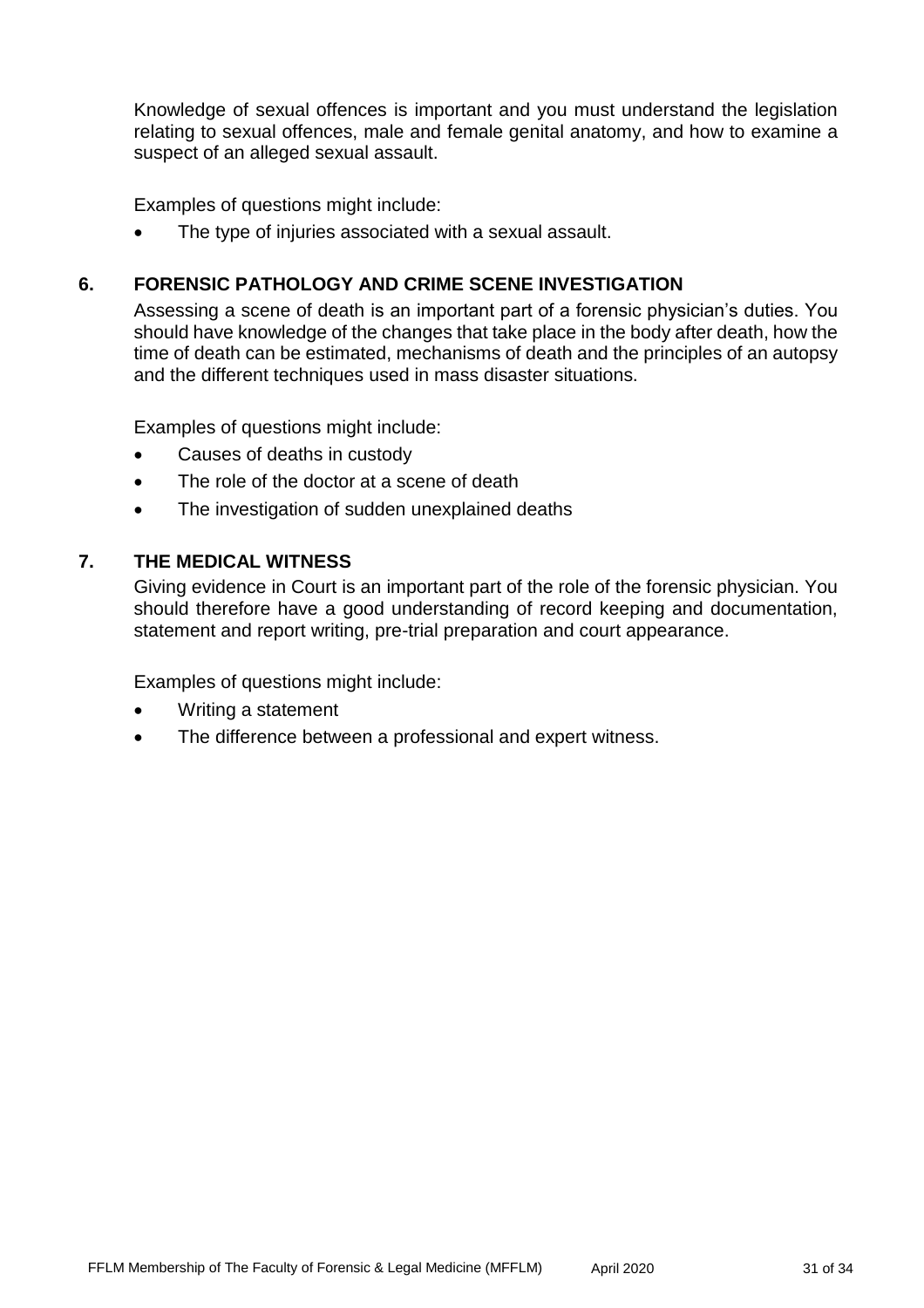Knowledge of sexual offences is important and you must understand the legislation relating to sexual offences, male and female genital anatomy, and how to examine a suspect of an alleged sexual assault.

Examples of questions might include:

The type of injuries associated with a sexual assault.

## **6. FORENSIC PATHOLOGY AND CRIME SCENE INVESTIGATION**

Assessing a scene of death is an important part of a forensic physician's duties. You should have knowledge of the changes that take place in the body after death, how the time of death can be estimated, mechanisms of death and the principles of an autopsy and the different techniques used in mass disaster situations.

Examples of questions might include:

- Causes of deaths in custody
- The role of the doctor at a scene of death
- The investigation of sudden unexplained deaths

#### **7. THE MEDICAL WITNESS**

Giving evidence in Court is an important part of the role of the forensic physician. You should therefore have a good understanding of record keeping and documentation, statement and report writing, pre-trial preparation and court appearance.

- Writing a statement
- The difference between a professional and expert witness.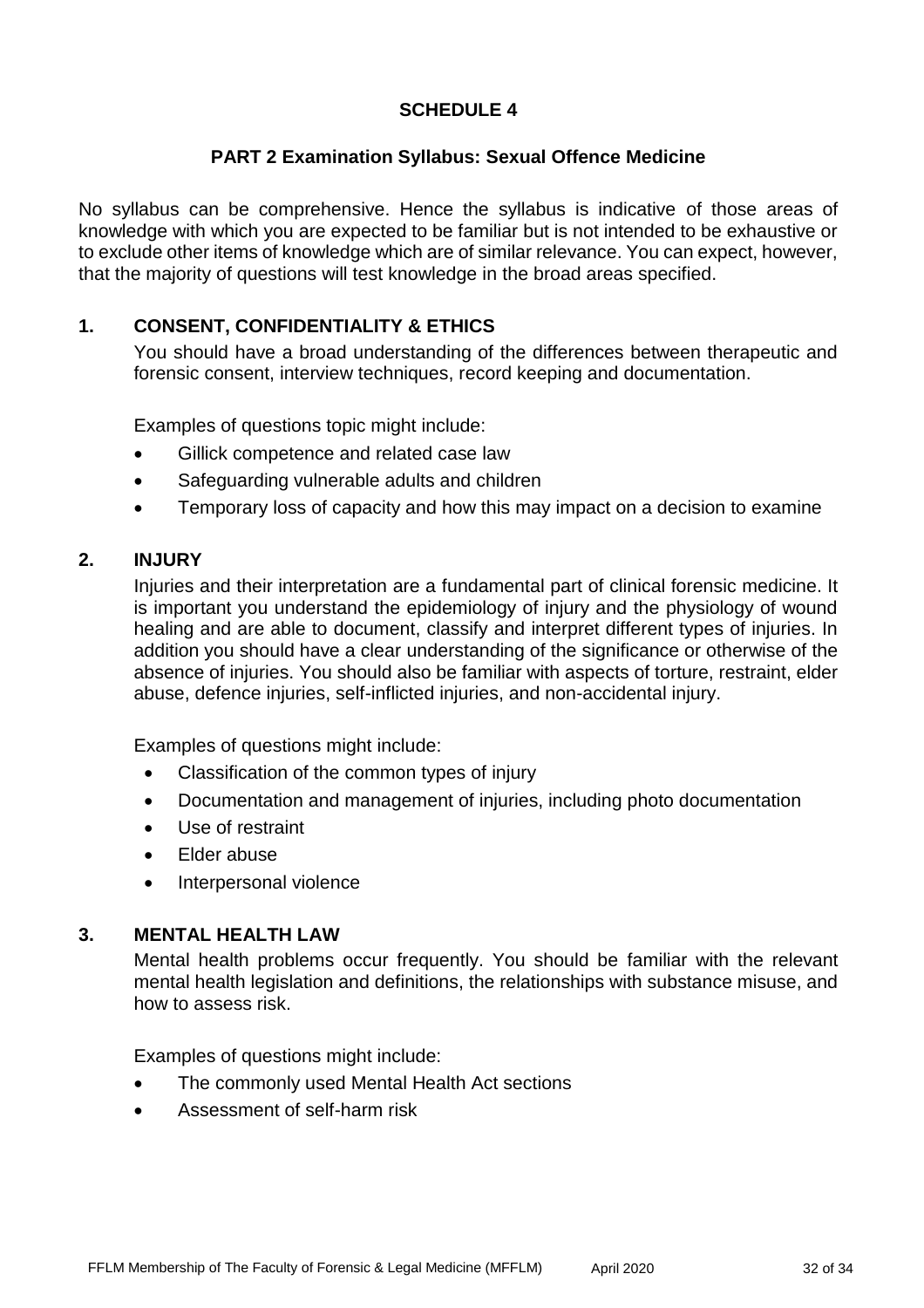## **SCHEDULE 4**

#### **PART 2 Examination Syllabus: Sexual Offence Medicine**

No syllabus can be comprehensive. Hence the syllabus is indicative of those areas of knowledge with which you are expected to be familiar but is not intended to be exhaustive or to exclude other items of knowledge which are of similar relevance. You can expect, however, that the majority of questions will test knowledge in the broad areas specified.

### **1. CONSENT, CONFIDENTIALITY & ETHICS**

You should have a broad understanding of the differences between therapeutic and forensic consent, interview techniques, record keeping and documentation.

Examples of questions topic might include:

- Gillick competence and related case law
- Safeguarding vulnerable adults and children
- Temporary loss of capacity and how this may impact on a decision to examine

#### **2. INJURY**

Injuries and their interpretation are a fundamental part of clinical forensic medicine. It is important you understand the epidemiology of injury and the physiology of wound healing and are able to document, classify and interpret different types of injuries. In addition you should have a clear understanding of the significance or otherwise of the absence of injuries. You should also be familiar with aspects of torture, restraint, elder abuse, defence injuries, self-inflicted injuries, and non-accidental injury.

Examples of questions might include:

- Classification of the common types of injury
- Documentation and management of injuries, including photo documentation
- Use of restraint
- Elder abuse
- Interpersonal violence

#### **3. MENTAL HEALTH LAW**

Mental health problems occur frequently. You should be familiar with the relevant mental health legislation and definitions, the relationships with substance misuse, and how to assess risk.

- The commonly used Mental Health Act sections
- Assessment of self-harm risk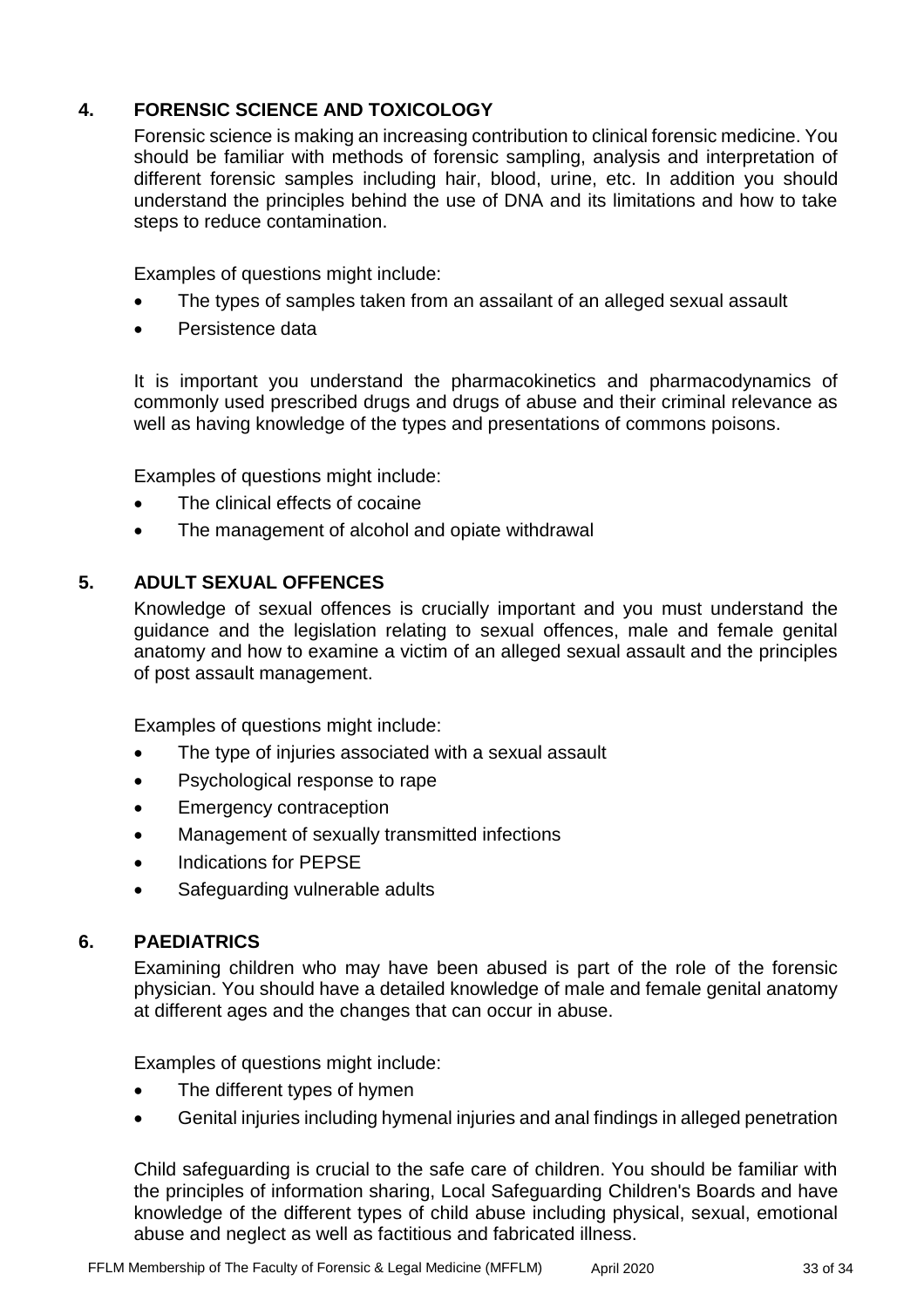# **4. FORENSIC SCIENCE AND TOXICOLOGY**

Forensic science is making an increasing contribution to clinical forensic medicine. You should be familiar with methods of forensic sampling, analysis and interpretation of different forensic samples including hair, blood, urine, etc. In addition you should understand the principles behind the use of DNA and its limitations and how to take steps to reduce contamination.

Examples of questions might include:

- The types of samples taken from an assailant of an alleged sexual assault
- Persistence data

It is important you understand the pharmacokinetics and pharmacodynamics of commonly used prescribed drugs and drugs of abuse and their criminal relevance as well as having knowledge of the types and presentations of commons poisons.

Examples of questions might include:

- The clinical effects of cocaine
- The management of alcohol and opiate withdrawal

## **5. ADULT SEXUAL OFFENCES**

Knowledge of sexual offences is crucially important and you must understand the guidance and the legislation relating to sexual offences, male and female genital anatomy and how to examine a victim of an alleged sexual assault and the principles of post assault management.

Examples of questions might include:

- The type of injuries associated with a sexual assault
- Psychological response to rape
- **Emergency contraception**
- Management of sexually transmitted infections
- Indications for PEPSE
- Safeguarding vulnerable adults

## **6. PAEDIATRICS**

Examining children who may have been abused is part of the role of the forensic physician. You should have a detailed knowledge of male and female genital anatomy at different ages and the changes that can occur in abuse.

Examples of questions might include:

- The different types of hymen
- Genital injuries including hymenal injuries and anal findings in alleged penetration

Child safeguarding is crucial to the safe care of children. You should be familiar with the principles of information sharing, Local Safeguarding Children's Boards and have knowledge of the different types of child abuse including physical, sexual, emotional abuse and neglect as well as factitious and fabricated illness.